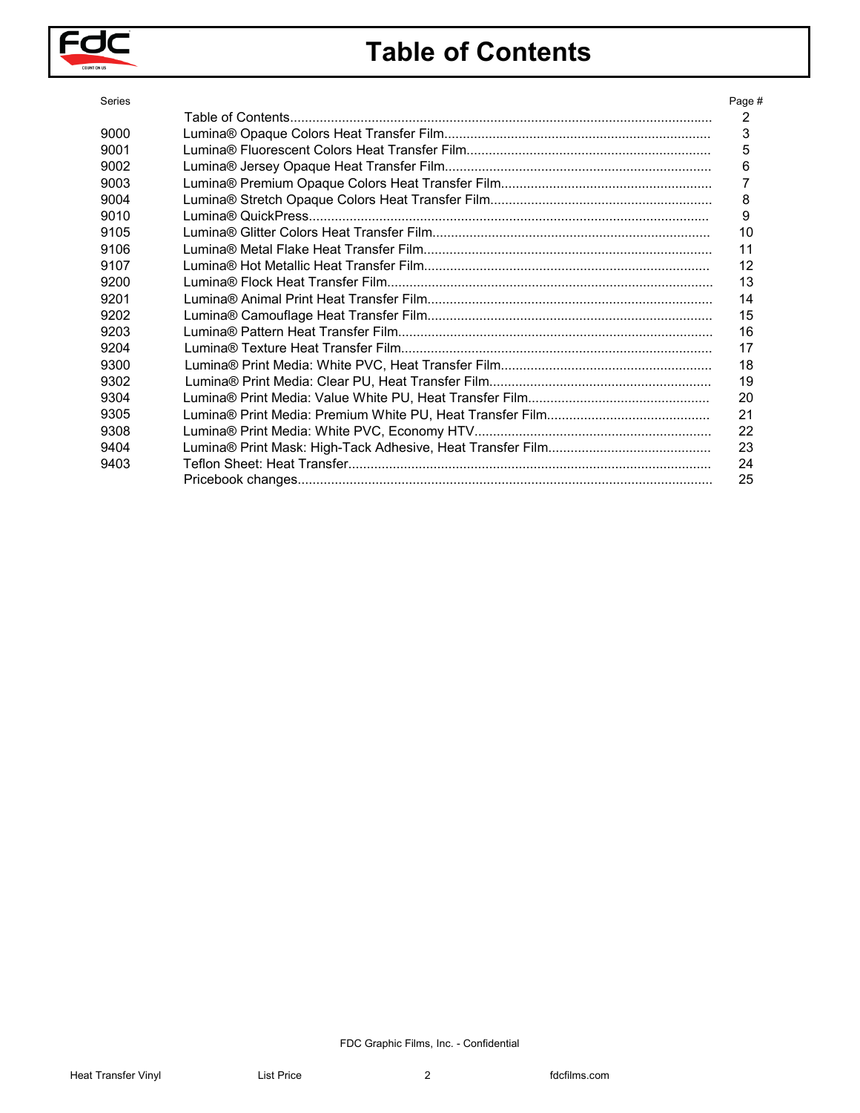

# **Table of Contents**

| Series | Page #   |
|--------|----------|
|        | 2        |
| 9000   | 3        |
| 9001   | 5        |
| 9002   | 6        |
| 9003   | 7        |
| 9004   | 8        |
| 9010   | 9        |
| 9105   | 10       |
| 9106   | 11       |
| 9107   | 12       |
| 9200   | 13       |
| 9201   | 14       |
| 9202   | 15       |
| 9203   | 16       |
| 9204   | 17       |
| 9300   | 18       |
| 9302   | 19       |
|        |          |
| 9304   | 20       |
| 9305   | 21       |
| 9308   | 22       |
| 9404   | 23       |
| 9403   | 24<br>25 |
|        |          |
|        |          |
|        |          |
|        |          |
|        |          |
|        |          |
|        |          |
|        |          |
|        |          |
|        |          |
|        |          |
|        |          |
|        |          |
|        |          |
|        |          |
|        |          |
|        |          |
|        |          |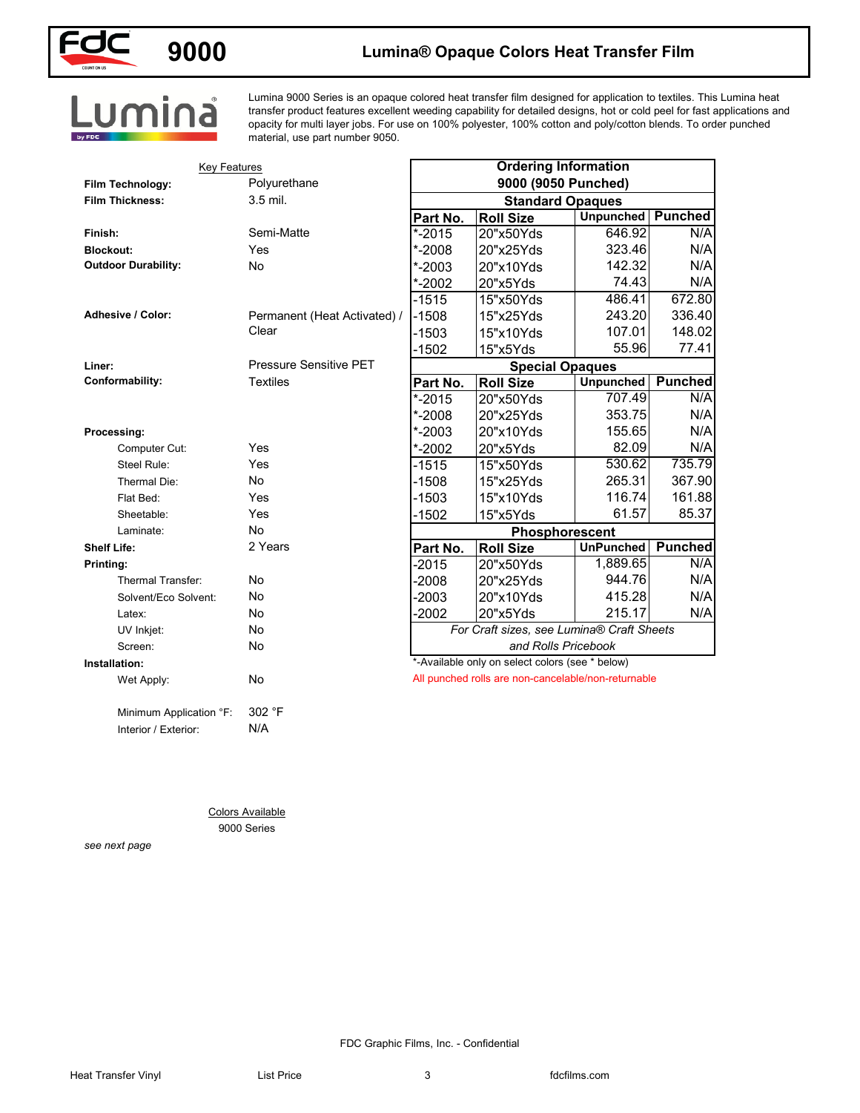

## **9000 Lumina® Opaque Colors Heat Transfer Film**

Lumina 9000 Series is an opaque colored heat transfer film designed for application to textiles. This Lumina heat transfer product features excellent weeding capability for detailed designs, hot or cold peel for fast applications and opacity for multi layer jobs. For use on 100% polyester, 100% cotton and poly/cotton blends. To order punched material, use part number 9050.

| <b>Key Features</b><br>Film Technology: | Polyurethane                           |            | <b>Ordering Information</b><br>9000 (9050 Punched)  |                  |                |  |
|-----------------------------------------|----------------------------------------|------------|-----------------------------------------------------|------------------|----------------|--|
| <b>Film Thickness:</b>                  | 3.5 mil.                               |            | <b>Standard Opaques</b>                             |                  |                |  |
|                                         |                                        | Part No.   | <b>Roll Size</b>                                    | <b>Unpunched</b> | <b>Punched</b> |  |
| Finish:                                 | Semi-Matte                             | $* - 2015$ | 20"x50Yds                                           | 646.92           | N/A            |  |
| <b>Blockout:</b>                        | Yes                                    | *-2008     | 20"x25Yds                                           | 323.46           | N/A            |  |
| <b>Outdoor Durability:</b>              | No                                     | $* - 2003$ | 20"x10Yds                                           | 142.32           | N/A            |  |
|                                         |                                        | *-2002     | 20"x5Yds                                            | 74.43            | N/A            |  |
|                                         |                                        | $-1515$    | 15"x50Yds                                           | 486.41           | 672.80         |  |
| <b>Adhesive / Color:</b>                | Permanent (Heat Activated) /           | $-1508$    | 15"x25Yds                                           | 243.20           | 336.40         |  |
|                                         | Clear                                  | $-1503$    | 15"x10Yds                                           | 107.01           | 148.02         |  |
|                                         |                                        | $-1502$    | 15"x5Yds                                            | 55.96            | 77.41          |  |
| Liner:                                  | <b>Pressure Sensitive PET</b>          |            | <b>Special Opaques</b>                              |                  |                |  |
| Conformability:                         | <b>Textiles</b>                        | Part No.   | <b>Roll Size</b>                                    | <b>Unpunched</b> | <b>Punched</b> |  |
|                                         |                                        | $* - 2015$ | 20"x50Yds                                           | 707.49           | N/A            |  |
|                                         |                                        | $* - 2008$ | 20"x25Yds                                           | 353.75           | N/A            |  |
| Processing:                             |                                        | $* - 2003$ | 20"x10Yds                                           | 155.65           | N/A            |  |
| Computer Cut:                           | Yes                                    | $* - 2002$ | 20"x5Yds                                            | 82.09            | N/A            |  |
| Steel Rule:                             | Yes                                    | $-1515$    | 15"x50Yds                                           | 530.62           | 735.79         |  |
| Thermal Die:                            | No                                     | $-1508$    | 15"x25Yds                                           | 265.31           | 367.90         |  |
| Flat Bed:                               | Yes                                    | $-1503$    | 15"x10Yds                                           | 116.74           | 161.88         |  |
| Sheetable:                              | Yes                                    | $-1502$    | 15"x5Yds                                            | 61.57            | 85.37          |  |
| Laminate:                               | No                                     |            | Phosphorescent                                      |                  |                |  |
| <b>Shelf Life:</b>                      | 2 Years                                | Part No.   | <b>Roll Size</b>                                    | <b>UnPunched</b> | <b>Punched</b> |  |
| Printing:                               |                                        | $-2015$    | 20"x50Yds                                           | 1,889.65         | N/A            |  |
| Thermal Transfer:                       | No                                     | $-2008$    | 20"x25Yds                                           | 944.76           | N/A            |  |
| Solvent/Eco Solvent:                    | No                                     | $-2003$    | 20"x10Yds                                           | 415.28           | N/A            |  |
| Latex:                                  | No                                     | $-2002$    | 20"x5Yds                                            | 215.17           | N/A            |  |
| UV Inkjet:                              | No                                     |            | For Craft sizes, see Lumina® Craft Sheets           |                  |                |  |
| Screen:                                 | No                                     |            | and Rolls Pricebook                                 |                  |                |  |
| Installation:                           |                                        |            | *-Available only on select colors (see * below)     |                  |                |  |
| Wet Apply:                              | No                                     |            | All punched rolls are non-cancelable/non-returnable |                  |                |  |
| Minimum Application °F:                 | 302 °F                                 |            |                                                     |                  |                |  |
| Interior / Exterior:                    | N/A                                    |            |                                                     |                  |                |  |
|                                         |                                        |            |                                                     |                  |                |  |
|                                         |                                        |            |                                                     |                  |                |  |
|                                         | <b>Colors Available</b><br>9000 Series |            |                                                     |                  |                |  |
| see next page                           |                                        |            |                                                     |                  |                |  |
|                                         |                                        |            |                                                     |                  |                |  |
|                                         |                                        |            |                                                     |                  |                |  |
|                                         |                                        |            |                                                     |                  |                |  |
|                                         |                                        |            |                                                     |                  |                |  |
|                                         |                                        |            |                                                     |                  |                |  |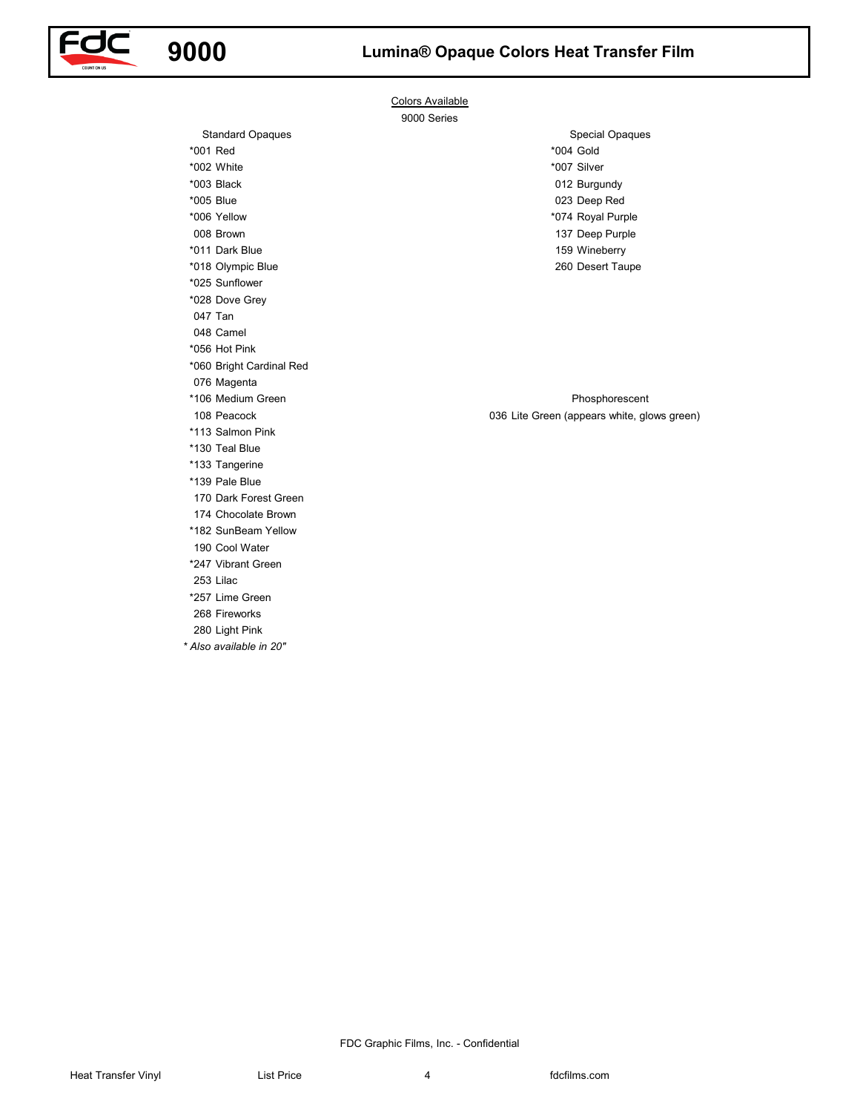



Colors Available 9000 Series

\*001 Red \*004 Gold Special Opaques

108 Peacock **108 Peacock 108 Peacock 108 Peacock 108 Peacock 108 Peacock 108 Peacock 108 Peacock 108 Peacock 108 Peacock 108 Peacock 108 Peacock 108 Peacock 108 Peacock 108 Peacock 108 Peacock** Phosphorescent

Voltaires visual<br>
Voltaires visual<br>
Voltaires visual<br>
Voltaires visual<br>
Voltaires visual<br>
Voltaires visual<br>
Voltaires visual<br>
Voltaires visual<br>
Voltaires visual<br>
Voltaires visual<br>
Voltaires visual<br>
Voltaires visual<br>
Volt \*002 White \*007 Silver \*003 Black 012 Burgundy \*005 Blue 023 Deep Red \*006 Yellow \*074 Royal Purple 008 Brown 137 Deep Purple \*011 Dark Blue 159 Wineberry \*018 Olympic Blue 260 Desert Taupe \*025 Sunflower \*028 Dove Grey 047 Tan 048 Camel \*056 Hot Pink \*060 Bright Cardinal Red 076 Magenta \*106 Medium Green \*113 Salmon Pink \*130 Teal Blue \*133 Tangerine \*139 Pale Blue 170 Dark Forest Green 174 Chocolate Brown \*182 SunBeam Yellow 190 Cool Water \*247 Vibrant Green 253 Lilac \*257 Lime Green

Standard Opaques

268 Fireworks

280 Light Pink

*\* Also available in 20"*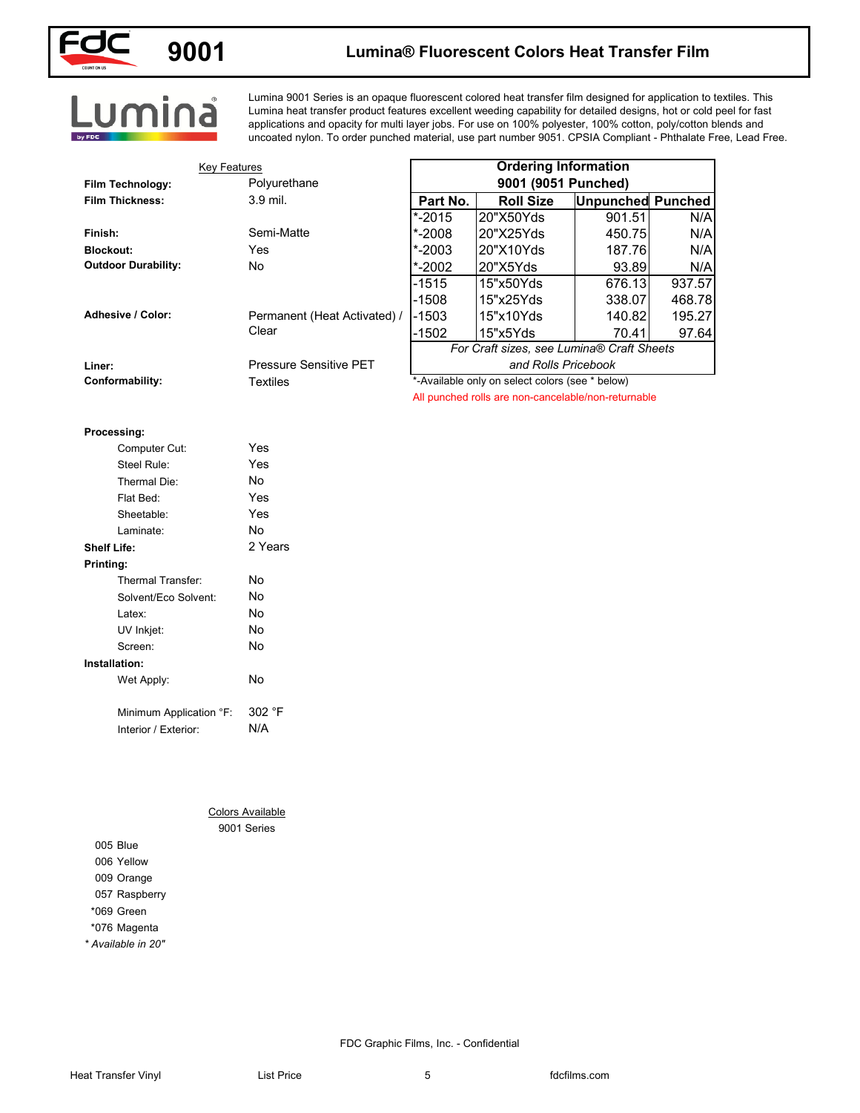

### **9001**

### **Lumina® Fluorescent Colors Heat Transfer Film**

Lumina 9001 Series is an opaque fluorescent colored heat transfer film designed for application to textiles. This Lumina heat transfer product features excellent weeding capability for detailed designs, hot or cold peel for fast applications and opacity for multi layer jobs. For use on 100% polyester, 100% cotton, poly/cotton blends and uncoated nylon. To order punched material, use part number 9051. CPSIA Compliant - Phthalate Free, Lead Free.

| <b>Key Features</b>                        | Polyurethane                           |                           | <b>Ordering Information</b><br>9001 (9051 Punched)  |                                    |        |
|--------------------------------------------|----------------------------------------|---------------------------|-----------------------------------------------------|------------------------------------|--------|
| Film Technology:<br><b>Film Thickness:</b> | 3.9 mil.                               |                           |                                                     |                                    |        |
|                                            |                                        | Part No.<br>$\sqrt{2015}$ | <b>Roll Size</b><br>20"X50Yds                       | <b>Unpunched Punched</b><br>901.51 | N/A    |
| Finish:                                    | Semi-Matte                             | $* - 2008$                | 20"X25Yds                                           | 450.75                             | N/A    |
| <b>Blockout:</b>                           | Yes                                    | $* - 2003$                | 20"X10Yds                                           | 187.76                             | N/A    |
| <b>Outdoor Durability:</b>                 | No                                     | $* - 2002$                | 20"X5Yds                                            | 93.89                              | N/A    |
|                                            |                                        | $-1515$                   | 15"x50Yds                                           | 676.13                             | 937.57 |
|                                            |                                        | $-1508$                   | 15"x25Yds                                           | 338.07                             | 468.78 |
| Adhesive / Color:                          | Permanent (Heat Activated) /           | $-1503$                   | 15"x10Yds                                           | 140.82                             | 195.27 |
|                                            | Clear                                  | $-1502$                   | 15"x5Yds                                            | 70.41                              | 97.64  |
|                                            |                                        |                           | For Craft sizes, see Lumina® Craft Sheets           |                                    |        |
| Liner:                                     | Pressure Sensitive PET                 |                           | and Rolls Pricebook                                 |                                    |        |
| Conformability:                            | <b>Textiles</b>                        |                           | *-Available only on select colors (see * below)     |                                    |        |
|                                            |                                        |                           | All punched rolls are non-cancelable/non-returnable |                                    |        |
|                                            |                                        |                           |                                                     |                                    |        |
| Processing:                                |                                        |                           |                                                     |                                    |        |
| Computer Cut:                              | Yes                                    |                           |                                                     |                                    |        |
| Steel Rule:                                | Yes                                    |                           |                                                     |                                    |        |
| Thermal Die:                               | No                                     |                           |                                                     |                                    |        |
| Flat Bed:                                  | Yes                                    |                           |                                                     |                                    |        |
| Sheetable:                                 | Yes                                    |                           |                                                     |                                    |        |
| Laminate:                                  | No                                     |                           |                                                     |                                    |        |
| <b>Shelf Life:</b>                         | 2 Years                                |                           |                                                     |                                    |        |
| Printing:                                  |                                        |                           |                                                     |                                    |        |
| Thermal Transfer:                          | No                                     |                           |                                                     |                                    |        |
| Solvent/Eco Solvent:                       | No                                     |                           |                                                     |                                    |        |
| Latex:                                     | No                                     |                           |                                                     |                                    |        |
| UV Inkjet:                                 | No                                     |                           |                                                     |                                    |        |
| Screen:                                    | No                                     |                           |                                                     |                                    |        |
| Installation:                              |                                        |                           |                                                     |                                    |        |
| Wet Apply:                                 | No                                     |                           |                                                     |                                    |        |
|                                            |                                        |                           |                                                     |                                    |        |
| Minimum Application °F:                    | 302 °F                                 |                           |                                                     |                                    |        |
| Interior / Exterior:                       | N/A                                    |                           |                                                     |                                    |        |
|                                            |                                        |                           |                                                     |                                    |        |
|                                            |                                        |                           |                                                     |                                    |        |
|                                            |                                        |                           |                                                     |                                    |        |
|                                            |                                        |                           |                                                     |                                    |        |
|                                            | <b>Colors Available</b><br>9001 Series |                           |                                                     |                                    |        |
| 005 Blue                                   |                                        |                           |                                                     |                                    |        |
| 006 Yellow                                 |                                        |                           |                                                     |                                    |        |
| 009 Orange                                 |                                        |                           |                                                     |                                    |        |
| 057 Raspberry                              |                                        |                           |                                                     |                                    |        |
| *069 Green                                 |                                        |                           |                                                     |                                    |        |
| *076 Magenta                               |                                        |                           |                                                     |                                    |        |
|                                            |                                        |                           |                                                     |                                    |        |

#### **Processing:**

|             | Computer Cut:           | Yes     |
|-------------|-------------------------|---------|
|             | Steel Rule:             | Yes     |
|             | Thermal Die:            | N٥      |
|             | Flat Bed:               | Yes     |
|             | Sheetable:              | Yes     |
|             | Laminate:               | No      |
| Shelf Life: |                         | 2 Years |
| Printing:   |                         |         |
|             | Thermal Transfer:       | N٥      |
|             | Solvent/Eco Solvent:    | No      |
|             | Latex:                  | N٥      |
|             | UV Inkjet:              | No      |
|             | Screen:                 | No      |
|             | Installation:           |         |
|             | Wet Apply:              | No      |
|             | Minimum Application °F: | 302 °F  |
|             |                         |         |

*\* Available in 20"*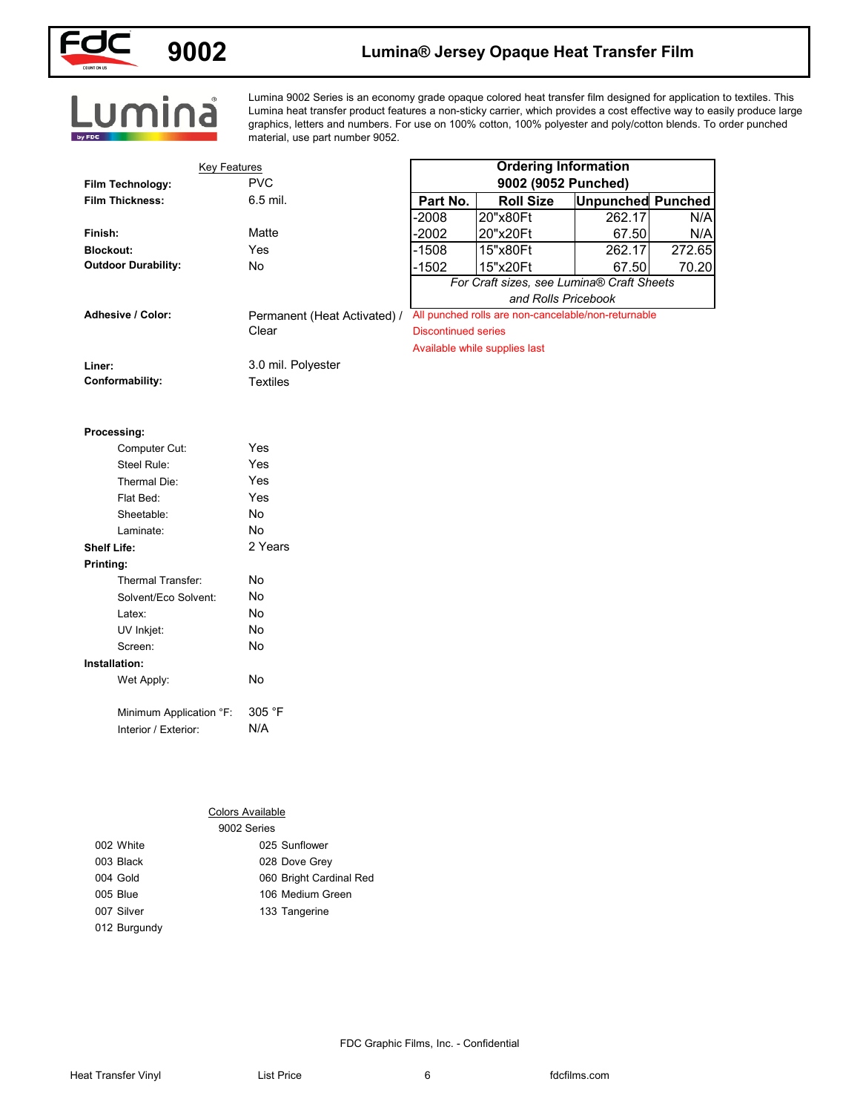

## **9002 Lumina® Jersey Opaque Heat Transfer Film**

Lumina 9002 Series is an economy grade opaque colored heat transfer film designed for application to textiles. This Lumina heat transfer product features a non-sticky carrier, which provides a cost effective way to easily produce large graphics, letters and numbers. For use on 100% cotton, 100% polyester and poly/cotton blends. To order punched material, use part number 9052.

| <b>Key Features</b><br>Film Technology: | <b>PVC</b>                   |                            | <b>Ordering Information</b><br>9002 (9052 Punched)  |                          |        |
|-----------------------------------------|------------------------------|----------------------------|-----------------------------------------------------|--------------------------|--------|
| <b>Film Thickness:</b>                  | 6.5 mil.                     | Part No.                   | <b>Roll Size</b>                                    | <b>Unpunched Punched</b> |        |
|                                         |                              | -2008                      | 20"x80Ft                                            | 262.17                   | N/A    |
| Finish:                                 | Matte                        | $-2002$                    | 20"x20Ft                                            | 67.50                    | N/A    |
| <b>Blockout:</b>                        | Yes                          | $-1508$                    | 15"x80Ft                                            | 262.17                   | 272.65 |
| <b>Outdoor Durability:</b>              | No                           | $-1502$                    | 15"x20Ft                                            | 67.50                    | 70.20  |
|                                         |                              |                            | For Craft sizes, see Lumina® Craft Sheets           |                          |        |
|                                         |                              |                            | and Rolls Pricebook                                 |                          |        |
| Adhesive / Color:                       | Permanent (Heat Activated) / |                            | All punched rolls are non-cancelable/non-returnable |                          |        |
|                                         | Clear                        | <b>Discontinued series</b> |                                                     |                          |        |
|                                         |                              |                            | Available while supplies last                       |                          |        |
| Liner:                                  | 3.0 mil. Polyester           |                            |                                                     |                          |        |
| Conformability:                         | <b>Textiles</b>              |                            |                                                     |                          |        |
|                                         |                              |                            |                                                     |                          |        |
| Processing:                             |                              |                            |                                                     |                          |        |
| Computer Cut:                           | Yes                          |                            |                                                     |                          |        |
| Steel Rule:                             | Yes                          |                            |                                                     |                          |        |
| Thermal Die:                            | Yes                          |                            |                                                     |                          |        |
| Flat Bed:                               | Yes                          |                            |                                                     |                          |        |
| Sheetable:                              | No                           |                            |                                                     |                          |        |
| Laminate:                               | No                           |                            |                                                     |                          |        |
| <b>Shelf Life:</b>                      | 2 Years                      |                            |                                                     |                          |        |
| Printing:                               |                              |                            |                                                     |                          |        |
| Thermal Transfer:                       | No                           |                            |                                                     |                          |        |
| Solvent/Eco Solvent:                    | No                           |                            |                                                     |                          |        |
| Latex:                                  | No                           |                            |                                                     |                          |        |
| UV Inkjet:                              | No                           |                            |                                                     |                          |        |
| Screen:                                 | No                           |                            |                                                     |                          |        |
| Installation:                           |                              |                            |                                                     |                          |        |
| Wet Apply:                              | No                           |                            |                                                     |                          |        |
| Minimum Application °F:                 | 305 °F                       |                            |                                                     |                          |        |
| Interior / Exterior:                    | N/A                          |                            |                                                     |                          |        |
|                                         |                              |                            |                                                     |                          |        |
|                                         |                              |                            |                                                     |                          |        |
|                                         |                              |                            |                                                     |                          |        |
|                                         |                              |                            |                                                     |                          |        |
|                                         | <b>Colors Available</b>      |                            |                                                     |                          |        |
|                                         | 9002 Series                  |                            |                                                     |                          |        |
| 002 White                               | 025 Sunflower                |                            |                                                     |                          |        |
| 003 Black                               | 028 Dove Grey                |                            |                                                     |                          |        |
| 004 Gold                                | 060 Bright Cardinal Red      |                            |                                                     |                          |        |
| 005 Blue                                | 106 Medium Green             |                            |                                                     |                          |        |
|                                         |                              |                            |                                                     |                          |        |
| 007 Silver<br>012 Burgundy              | 133 Tangerine                |                            |                                                     |                          |        |

|              | <b>SUUZ SEILES</b>      |  |
|--------------|-------------------------|--|
| 002 White    | 025 Sunflower           |  |
| 003 Black    | 028 Dove Grey           |  |
| 004 Gold     | 060 Bright Cardinal Red |  |
| 005 Blue     | 106 Medium Green        |  |
| 007 Silver   | 133 Tangerine           |  |
| 012 Burgundy |                         |  |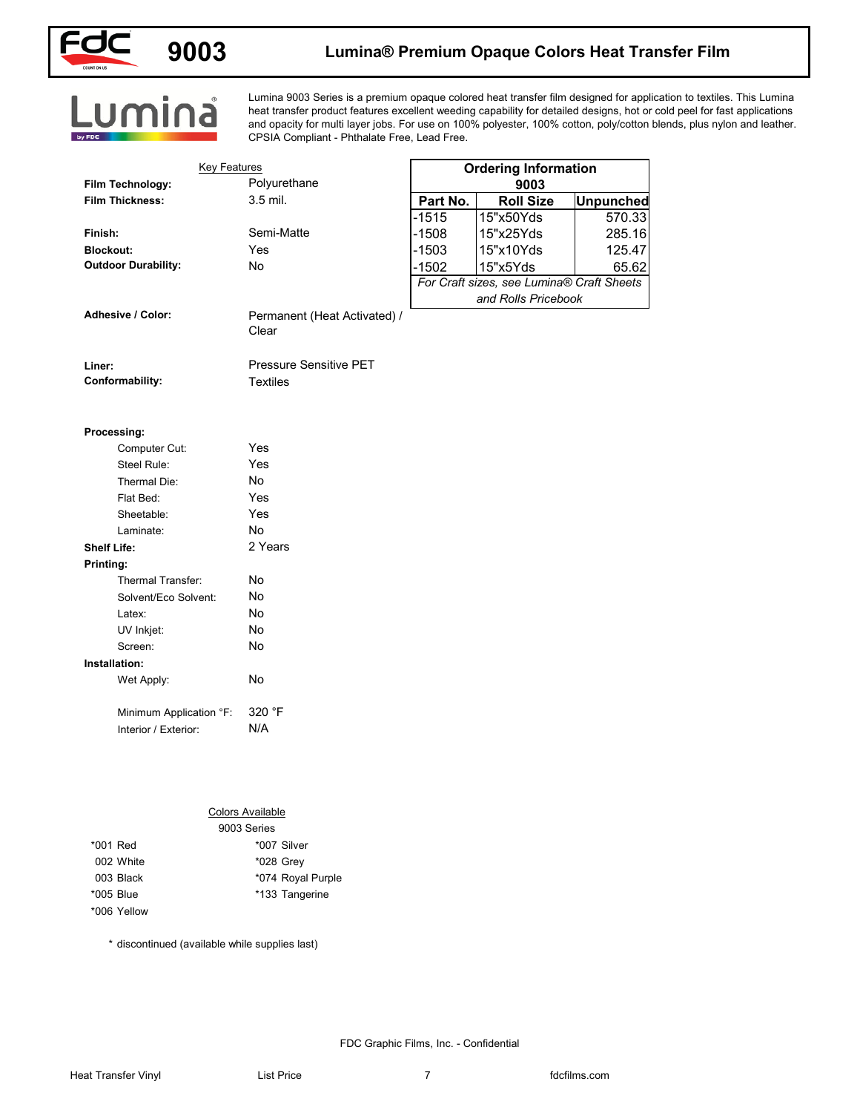

### **9003 Lumina® Premium Opaque Colors Heat Transfer Film**

# Lumina

Lumina 9003 Series is a premium opaque colored heat transfer film designed for application to textiles. This Lumina heat transfer product features excellent weeding capability for detailed designs, hot or cold peel for fast applications and opacity for multi layer jobs. For use on 100% polyester, 100% cotton, poly/cotton blends, plus nylon and leather. CPSIA Compliant - Phthalate Free, Lead Free.

|                            | <b>Key Features</b>                   |          | <b>Ordering Information</b>               |                  |
|----------------------------|---------------------------------------|----------|-------------------------------------------|------------------|
| Film Technology:           | Polyurethane                          |          | 9003                                      |                  |
| <b>Film Thickness:</b>     | 3.5 mil.                              | Part No. | <b>Roll Size</b>                          | <b>Unpunched</b> |
|                            |                                       | $-1515$  | 15"x50Yds                                 | 570.33           |
| Finish:                    | Semi-Matte                            | $-1508$  | 15"x25Yds                                 | 285.16           |
| <b>Blockout:</b>           | Yes                                   | $-1503$  | 15"x10Yds                                 | 125.47           |
| <b>Outdoor Durability:</b> | No                                    | $-1502$  | 15"x5Yds                                  | 65.62            |
|                            |                                       |          | For Craft sizes, see Lumina® Craft Sheets |                  |
| Adhesive / Color:          |                                       |          | and Rolls Pricebook                       |                  |
|                            | Permanent (Heat Activated) /<br>Clear |          |                                           |                  |
| Liner:                     | <b>Pressure Sensitive PET</b>         |          |                                           |                  |
| Conformability:            | <b>Textiles</b>                       |          |                                           |                  |
|                            |                                       |          |                                           |                  |
| Processing:                |                                       |          |                                           |                  |
| Computer Cut:              | Yes                                   |          |                                           |                  |
| Steel Rule:                | Yes                                   |          |                                           |                  |
| Thermal Die:               | No                                    |          |                                           |                  |
| Flat Bed:                  | Yes                                   |          |                                           |                  |
| Sheetable:                 | Yes                                   |          |                                           |                  |
| Laminate:                  | <b>No</b><br>2 Years                  |          |                                           |                  |
| <b>Shelf Life:</b>         |                                       |          |                                           |                  |
| Printing:                  |                                       |          |                                           |                  |
| Thermal Transfer:          | No                                    |          |                                           |                  |
| Solvent/Eco Solvent:       | No<br>No                              |          |                                           |                  |
| Latex:<br>UV Inkjet:       | No                                    |          |                                           |                  |
| Screen:                    | No                                    |          |                                           |                  |
| Installation:              |                                       |          |                                           |                  |
| Wet Apply:                 | No                                    |          |                                           |                  |
|                            |                                       |          |                                           |                  |
| Minimum Application °F:    | 320 °F                                |          |                                           |                  |
| Interior / Exterior:       | N/A                                   |          |                                           |                  |
|                            |                                       |          |                                           |                  |
|                            |                                       |          |                                           |                  |
| <b>Colors Available</b>    |                                       |          |                                           |                  |
| 9003 Series                |                                       |          |                                           |                  |
| *001 Red                   | *007 Silver                           |          |                                           |                  |
| 002 White                  | *028 Grey                             |          |                                           |                  |
|                            |                                       |          |                                           |                  |
|                            |                                       |          |                                           |                  |
| 003 Black<br>*005 Blue     | *074 Royal Purple<br>*133 Tangerine   |          |                                           |                  |

#### **Installation:**

#### Colors Available

|             | 9003 Series       |
|-------------|-------------------|
| *001 Red    | *007 Silver       |
| 002 White   | *028 Grey         |
| 003 Black   | *074 Royal Purple |
| *005 Blue   | *133 Tangerine    |
| *006 Yellow |                   |

\* discontinued (available while supplies last)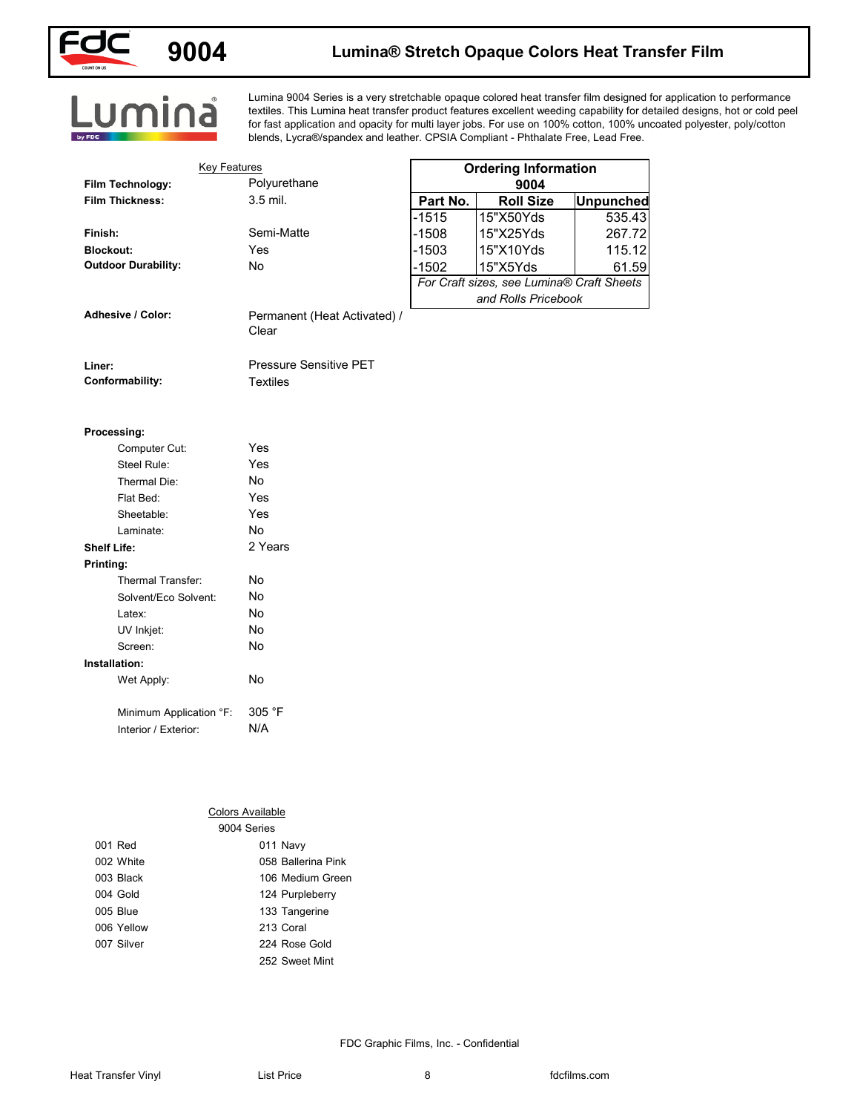

## **9004 Lumina® Stretch Opaque Colors Heat Transfer Film**

Lumina 9004 Series is a very stretchable opaque colored heat transfer film designed for application to performance textiles. This Lumina heat transfer product features excellent weeding capability for detailed designs, hot or cold peel for fast application and opacity for multi layer jobs. For use on 100% cotton, 100% uncoated polyester, poly/cotton blends, Lycra®/spandex and leather. CPSIA Compliant - Phthalate Free, Lead Free.

| <b>Key Features</b>                            |                              |          | <b>Ordering Information</b>                           |                  |
|------------------------------------------------|------------------------------|----------|-------------------------------------------------------|------------------|
| Film Technology:                               | Polyurethane                 |          | 9004                                                  |                  |
| <b>Film Thickness:</b>                         | 3.5 mil.                     | Part No. | <b>Roll Size</b>                                      | <b>Unpunched</b> |
|                                                |                              | $-1515$  | 15"X50Yds                                             | 535.43           |
| Finish:                                        | Semi-Matte                   | $-1508$  | 15"X25Yds                                             | 267.72           |
| <b>Blockout:</b><br><b>Outdoor Durability:</b> | Yes<br>No                    | $-1503$  | 15"X10Yds                                             | 115.12           |
|                                                |                              | $-1502$  | 15"X5Yds<br>For Craft sizes, see Lumina® Craft Sheets | 61.59            |
|                                                |                              |          | and Rolls Pricebook                                   |                  |
| Adhesive / Color:                              | Permanent (Heat Activated) / |          |                                                       |                  |
|                                                | Clear                        |          |                                                       |                  |
| Liner:                                         | Pressure Sensitive PET       |          |                                                       |                  |
| Conformability:                                | <b>Textiles</b>              |          |                                                       |                  |
|                                                |                              |          |                                                       |                  |
| Processing:                                    |                              |          |                                                       |                  |
| Computer Cut:                                  | Yes                          |          |                                                       |                  |
| Steel Rule:                                    | Yes                          |          |                                                       |                  |
| Thermal Die:                                   | No                           |          |                                                       |                  |
| Flat Bed:                                      | Yes                          |          |                                                       |                  |
| Sheetable:                                     | Yes                          |          |                                                       |                  |
| Laminate:                                      | No                           |          |                                                       |                  |
| <b>Shelf Life:</b>                             | 2 Years                      |          |                                                       |                  |
| Printing:                                      |                              |          |                                                       |                  |
| Thermal Transfer:                              | No                           |          |                                                       |                  |
| Solvent/Eco Solvent:                           | No                           |          |                                                       |                  |
| Latex:                                         | No                           |          |                                                       |                  |
| UV Inkjet:                                     | No                           |          |                                                       |                  |
| Screen:                                        | No                           |          |                                                       |                  |
| Installation:                                  |                              |          |                                                       |                  |
| Wet Apply:                                     | No                           |          |                                                       |                  |
| Minimum Application °F:                        | 305 °F                       |          |                                                       |                  |
| Interior / Exterior:                           | N/A                          |          |                                                       |                  |
|                                                |                              |          |                                                       |                  |
|                                                |                              |          |                                                       |                  |
|                                                |                              |          |                                                       |                  |
|                                                | <b>Colors Available</b>      |          |                                                       |                  |
|                                                | 9004 Series                  |          |                                                       |                  |
| 001 Red                                        | 011 Navy                     |          |                                                       |                  |
| 002 White                                      | 058 Ballerina Pink           |          |                                                       |                  |
| 003 Black                                      | 106 Medium Green             |          |                                                       |                  |
| 004 Gold                                       | 124 Purpleberry              |          |                                                       |                  |
| 005 Blue                                       | 133 Tangerine                |          |                                                       |                  |
| 006 Yellow                                     | 213 Coral                    |          |                                                       |                  |

| I aminate:              | No      |
|-------------------------|---------|
| <b>Shelf Life:</b>      | 2 Years |
| Printing:               |         |
| Thermal Transfer:       | N٥      |
| Solvent/Fco Solvent:    | N٥      |
| Latex:                  | N٥      |
| UV Inkjet:              | No      |
| Screen <sup>-</sup>     | No      |
| Installation:           |         |
| Wet Apply:              | N٥      |
|                         |         |
| Minimum Application °F: | 305 °F  |
| Interior / Exterior:    | N/A     |

|            | 9004 Series        |
|------------|--------------------|
| 001 Red    | 011 Navy           |
| 002 White  | 058 Ballerina Pink |
| 003 Black  | 106 Medium Green   |
| 004 Gold   | 124 Purpleberry    |
| 005 Blue   | 133 Tangerine      |
| 006 Yellow | 213 Coral          |
| 007 Silver | 224 Rose Gold      |
|            | 252 Sweet Mint     |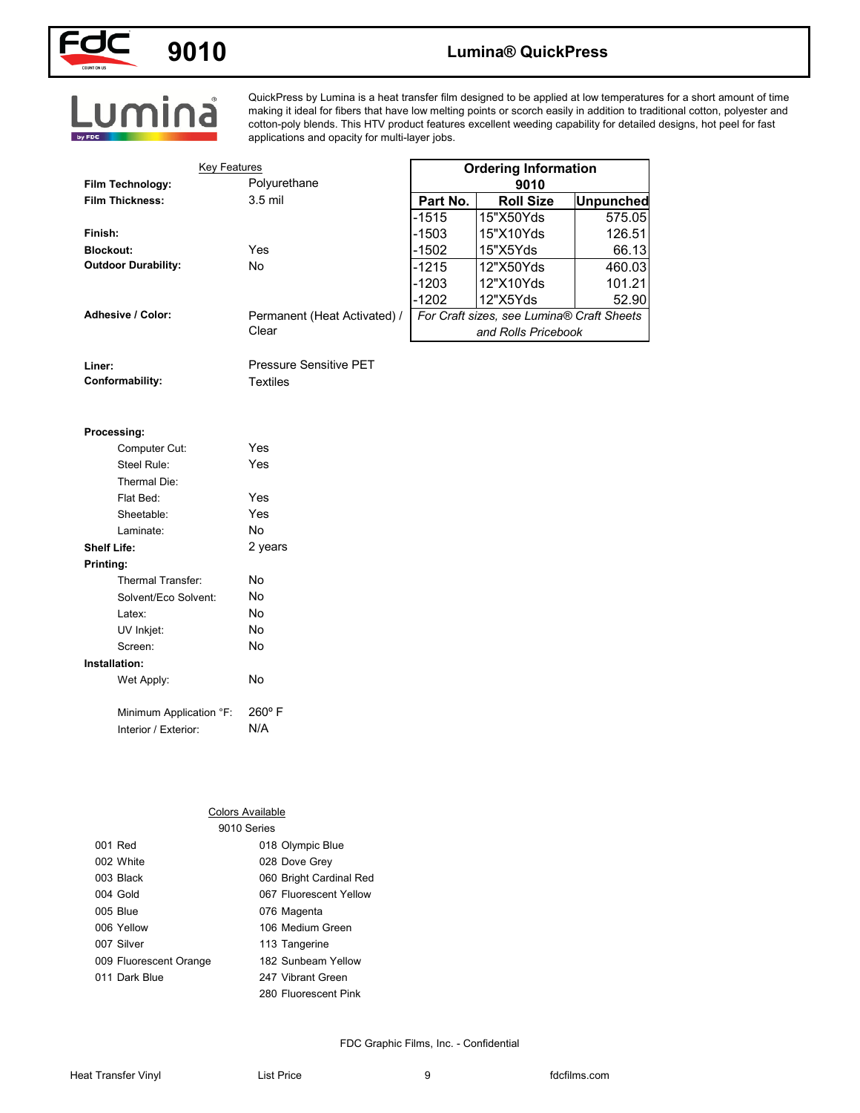

## **9010 Lumina® QuickPress**

QuickPress by Lumina is a heat transfer film designed to be applied at low temperatures for a short amount of time making it ideal for fibers that have low melting points or scorch easily in addition to traditional cotton, polyester and cotton-poly blends. This HTV product features excellent weeding capability for detailed designs, hot peel for fast applications and opacity for multi-layer jobs.

| <b>Key Features</b>        |                                       |          | <b>Ordering Information</b>                           |                  |
|----------------------------|---------------------------------------|----------|-------------------------------------------------------|------------------|
| Film Technology:           | Polyurethane                          |          | 9010                                                  |                  |
| <b>Film Thickness:</b>     | 3.5 mil                               | Part No. | <b>Roll Size</b>                                      | <b>Unpunched</b> |
|                            |                                       | $-1515$  | 15"X50Yds                                             | 575.05           |
| Finish:                    |                                       | $-1503$  | 15"X10Yds                                             | 126.51           |
| <b>Blockout:</b>           | Yes                                   | $-1502$  | 15"X5Yds                                              | 66.13            |
| <b>Outdoor Durability:</b> | No                                    | $-1215$  | 12"X50Yds                                             | 460.03           |
|                            |                                       | $-1203$  | 12"X10Yds                                             | 101.21           |
| Adhesive / Color:          |                                       | $-1202$  | 12"X5Yds<br>For Craft sizes, see Lumina® Craft Sheets | 52.90            |
|                            | Permanent (Heat Activated) /<br>Clear |          | and Rolls Pricebook                                   |                  |
|                            |                                       |          |                                                       |                  |
| Liner:                     | Pressure Sensitive PET                |          |                                                       |                  |
| Conformability:            | <b>Textiles</b>                       |          |                                                       |                  |
|                            |                                       |          |                                                       |                  |
|                            |                                       |          |                                                       |                  |
| Processing:                |                                       |          |                                                       |                  |
| Computer Cut:              | Yes                                   |          |                                                       |                  |
| Steel Rule:                | Yes                                   |          |                                                       |                  |
| Thermal Die:               |                                       |          |                                                       |                  |
| Flat Bed:                  | Yes                                   |          |                                                       |                  |
| Sheetable:                 | Yes                                   |          |                                                       |                  |
| Laminate:                  | No                                    |          |                                                       |                  |
| <b>Shelf Life:</b>         | 2 years                               |          |                                                       |                  |
| Printing:                  |                                       |          |                                                       |                  |
| Thermal Transfer:          | No                                    |          |                                                       |                  |
| Solvent/Eco Solvent:       | No                                    |          |                                                       |                  |
| Latex:                     | No<br>No                              |          |                                                       |                  |
| UV Inkjet:<br>Screen:      | No                                    |          |                                                       |                  |
| Installation:              |                                       |          |                                                       |                  |
| Wet Apply:                 | No                                    |          |                                                       |                  |
|                            |                                       |          |                                                       |                  |
| Minimum Application °F:    | 260°F                                 |          |                                                       |                  |
| Interior / Exterior:       | N/A                                   |          |                                                       |                  |
|                            |                                       |          |                                                       |                  |
|                            |                                       |          |                                                       |                  |
|                            |                                       |          |                                                       |                  |
|                            |                                       |          |                                                       |                  |
|                            | <b>Colors Available</b>               |          |                                                       |                  |
|                            | 9010 Series                           |          |                                                       |                  |
| 001 Red                    | 018 Olympic Blue                      |          |                                                       |                  |
| 002 White                  | 028 Dove Grey                         |          |                                                       |                  |
| 003 Black                  | 060 Bright Cardinal Red               |          |                                                       |                  |
| 004 Gold                   | 067 Fluorescent Yellow                |          |                                                       |                  |
| 005 Blue                   | 076 Magenta                           |          |                                                       |                  |
| 006 Yellow                 | 106 Medium Green                      |          |                                                       |                  |

### **Processing:**

| Computer Cut:           | Yes             |
|-------------------------|-----------------|
| Steel Rule:             | Yes             |
| Thermal Die:            |                 |
| Flat Bed:               | Yes             |
| Sheetable:              | Yes             |
| Laminate:               | N٥              |
| <b>Shelf Life:</b>      | 2 years         |
| Printing:               |                 |
| Thermal Transfer:       | No              |
| Solvent/Eco Solvent:    | No              |
| l atex <sup>-</sup>     | No              |
| UV Inkjet:              | No              |
| Screen:                 | No              |
| Installation:           |                 |
| Wet Apply:              | No              |
| Minimum Application °F: | $260^{\circ}$ F |
| Interior / Exterior:    | N/A             |

#### Colors Available

|                        | 9010 Series             |  |
|------------------------|-------------------------|--|
| 001 Red                | 018 Olympic Blue        |  |
| 002 White              | 028 Dove Grey           |  |
| 003 Black              | 060 Bright Cardinal Red |  |
| 004 Gold               | 067 Fluorescent Yellow  |  |
| 005 Blue               | 076 Magenta             |  |
| 006 Yellow             | 106 Medium Green        |  |
| 007 Silver             | 113 Tangerine           |  |
| 009 Fluorescent Orange | 182 Sunbeam Yellow      |  |
| 011 Dark Blue          | 247 Vibrant Green       |  |
|                        | 280 Fluorescent Pink    |  |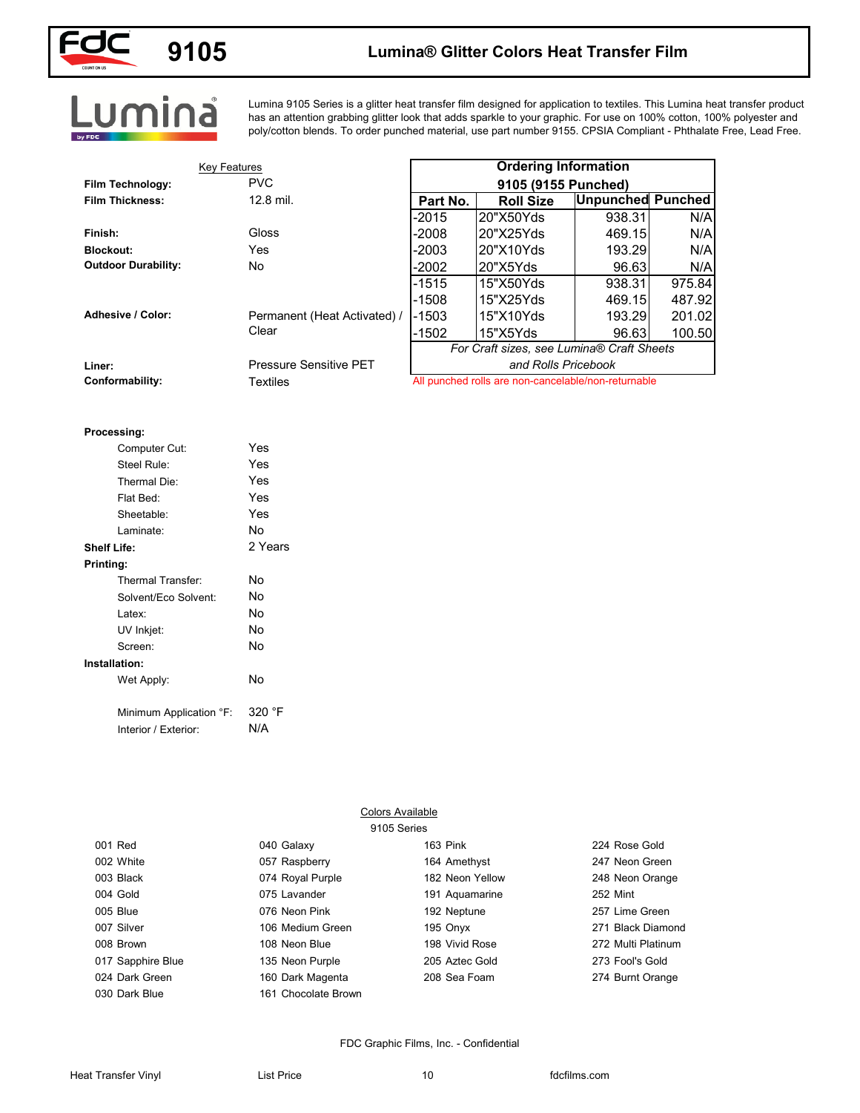

## **9105 Lumina® Glitter Colors Heat Transfer Film**

# Lumina

Lumina 9105 Series is a glitter heat transfer film designed for application to textiles. This Lumina heat transfer product has an attention grabbing glitter look that adds sparkle to your graphic. For use on 100% cotton, 100% polyester and poly/cotton blends. To order punched material, use part number 9155. CPSIA Compliant - Phthalate Free, Lead Free.

| <b>Key Features</b>                                                                                                                                                                                                                    |                                                                                      |                 | <b>Ordering Information</b>                         |                          |        |
|----------------------------------------------------------------------------------------------------------------------------------------------------------------------------------------------------------------------------------------|--------------------------------------------------------------------------------------|-----------------|-----------------------------------------------------|--------------------------|--------|
| Film Technology:                                                                                                                                                                                                                       | <b>PVC</b>                                                                           |                 | 9105 (9155 Punched)                                 |                          |        |
| <b>Film Thickness:</b>                                                                                                                                                                                                                 | 12.8 mil.                                                                            | Part No.        | <b>Roll Size</b>                                    | <b>Unpunched Punched</b> |        |
|                                                                                                                                                                                                                                        |                                                                                      | $-2015$         | 20"X50Yds                                           | 938.31                   | N/A    |
| Finish:                                                                                                                                                                                                                                | Gloss                                                                                | $-2008$         | 20"X25Yds                                           | 469.15                   | N/A    |
| <b>Blockout:</b>                                                                                                                                                                                                                       | Yes                                                                                  | $-2003$         | 20"X10Yds                                           | 193.29                   | N/A    |
| <b>Outdoor Durability:</b>                                                                                                                                                                                                             | No                                                                                   | $-2002$         | 20"X5Yds                                            | 96.63                    | N/A    |
|                                                                                                                                                                                                                                        |                                                                                      | $-1515$         | 15"X50Yds                                           | 938.31                   | 975.84 |
|                                                                                                                                                                                                                                        |                                                                                      | $-1508$         | 15"X25Yds                                           | 469.15                   | 487.92 |
| <b>Adhesive / Color:</b>                                                                                                                                                                                                               | Permanent (Heat Activated) /                                                         | $-1503$         | 15"X10Yds                                           | 193.29                   | 201.02 |
|                                                                                                                                                                                                                                        | Clear                                                                                | $-1502$         | 15"X5Yds                                            | 96.63                    | 100.50 |
|                                                                                                                                                                                                                                        |                                                                                      |                 | For Craft sizes, see Lumina® Craft Sheets           |                          |        |
| Liner:                                                                                                                                                                                                                                 | Pressure Sensitive PET                                                               |                 | and Rolls Pricebook                                 |                          |        |
| Conformability:                                                                                                                                                                                                                        | <b>Textiles</b>                                                                      |                 | All punched rolls are non-cancelable/non-returnable |                          |        |
| Computer Cut:<br>Steel Rule:<br>Thermal Die:<br>Flat Bed:<br>Sheetable:<br>Laminate:<br><b>Shelf Life:</b><br>Printing:<br>Thermal Transfer:<br>Solvent/Eco Solvent:<br>Latex:<br>UV Inkjet:<br>Screen:<br>Installation:<br>Wet Apply: | Yes<br>Yes<br>Yes<br>Yes<br>Yes<br>No<br>2 Years<br>No<br>No<br>No<br>No<br>No<br>No |                 |                                                     |                          |        |
|                                                                                                                                                                                                                                        |                                                                                      |                 |                                                     |                          |        |
| Minimum Application °F:                                                                                                                                                                                                                | 320 °F                                                                               |                 |                                                     |                          |        |
| Interior / Exterior:                                                                                                                                                                                                                   | N/A                                                                                  |                 |                                                     |                          |        |
|                                                                                                                                                                                                                                        | Colors Available                                                                     |                 |                                                     |                          |        |
| 001 Red                                                                                                                                                                                                                                | 9105 Series<br>040 Galaxy                                                            | 163 Pink        |                                                     | 224 Rose Gold            |        |
| 002 White                                                                                                                                                                                                                              | 057 Raspberry                                                                        | 164 Amethyst    |                                                     | 247 Neon Green           |        |
| 003 Black                                                                                                                                                                                                                              | 074 Royal Purple                                                                     | 182 Neon Yellow |                                                     | 248 Neon Orange          |        |
| 004 Gold                                                                                                                                                                                                                               | 075 Lavander                                                                         | 191 Aquamarine  |                                                     | 252 Mint                 |        |
|                                                                                                                                                                                                                                        |                                                                                      |                 |                                                     |                          |        |
| 005 Blue                                                                                                                                                                                                                               | 076 Neon Pink                                                                        | 192 Neptune     |                                                     | 257 Lime Green           |        |
| 007 Silver                                                                                                                                                                                                                             | 106 Medium Green                                                                     | 195 Onyx        |                                                     | 271 Black Diamond        |        |

### **Processing:**

| Computer Cut:           | Yes     |
|-------------------------|---------|
| Steel Rule:             | Yes     |
| Thermal Die:            | Yes     |
| Flat Bed:               | Yes     |
| Sheetable:              | Yes     |
| Laminate:               | No      |
| Shelf Life:             | 2 Years |
| Printing:               |         |
| Thermal Transfer:       | N٥      |
| Solvent/Eco Solvent:    | No      |
| Latex:                  | No      |
| UV Inkjet:              | No      |
| Screen:                 | No      |
| Installation:           |         |
| Wet Apply:              | No      |
|                         |         |
| Minimum Application °F: | 320 °F  |
| Interior / Exterior:    | N/A     |

|   | $0°$ F |  |
|---|--------|--|
| Ά |        |  |

|                   |                     | 9105 Series     |                    |
|-------------------|---------------------|-----------------|--------------------|
| 001 Red           | 040 Galaxy          | 163 Pink        | 224 Rose Gold      |
| 002 White         | 057 Raspberry       | 164 Amethyst    | 247 Neon Green     |
| 003 Black         | 074 Royal Purple    | 182 Neon Yellow | 248 Neon Orange    |
| 004 Gold          | 075 Lavander        | 191 Aquamarine  | <b>252 Mint</b>    |
| 005 Blue          | 076 Neon Pink       | 192 Neptune     | 257 Lime Green     |
| 007 Silver        | 106 Medium Green    | 195 Onyx        | 271 Black Diamond  |
| 008 Brown         | 108 Neon Blue       | 198 Vivid Rose  | 272 Multi Platinum |
| 017 Sapphire Blue | 135 Neon Purple     | 205 Aztec Gold  | 273 Fool's Gold    |
| 024 Dark Green    | 160 Dark Magenta    | 208 Sea Foam    | 274 Burnt Orange   |
| 030 Dark Blue     | 161 Chocolate Brown |                 |                    |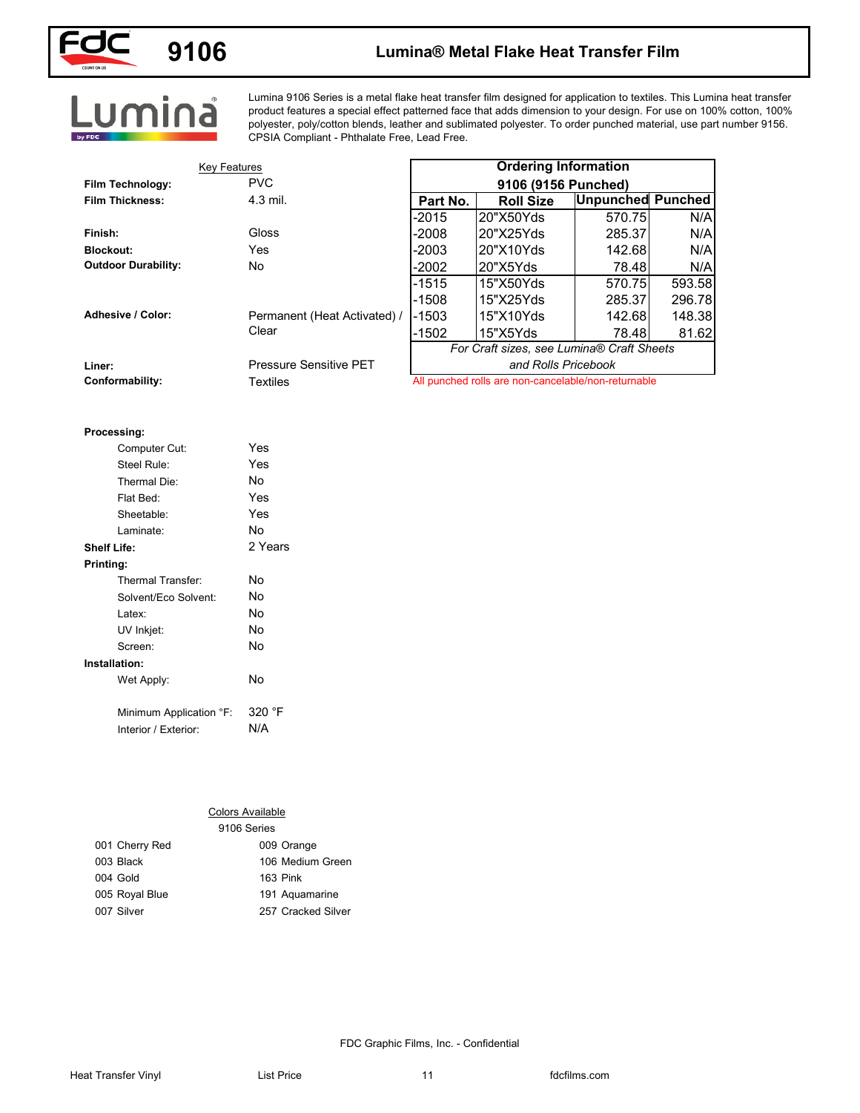

## **9106 Lumina® Metal Flake Heat Transfer Film**

Lumina 9106 Series is a metal flake heat transfer film designed for application to textiles. This Lumina heat transfer product features a special effect patterned face that adds dimension to your design. For use on 100% cotton, 100% polyester, poly/cotton blends, leather and sublimated polyester. To order punched material, use part number 9156. CPSIA Compliant - Phthalate Free, Lead Free.

| <b>Key Features</b>          |                              |          | <b>Ordering Information</b>                         |                          |        |
|------------------------------|------------------------------|----------|-----------------------------------------------------|--------------------------|--------|
| Film Technology:             | <b>PVC</b>                   |          | 9106 (9156 Punched)                                 |                          |        |
| <b>Film Thickness:</b>       | 4.3 mil.                     | Part No. | <b>Roll Size</b>                                    | <b>Unpunched Punched</b> |        |
|                              |                              | $-2015$  | 20"X50Yds                                           | 570.75                   | N/A    |
| Finish:                      | Gloss                        | $-2008$  | 20"X25Yds                                           | 285.37                   | N/A    |
| <b>Blockout:</b>             | Yes                          | $-2003$  | 20"X10Yds                                           | 142.68                   | N/A    |
| <b>Outdoor Durability:</b>   | No                           | $-2002$  | 20"X5Yds                                            | 78.48                    | N/A    |
|                              |                              | $-1515$  | 15"X50Yds                                           | 570.75                   | 593.58 |
|                              |                              | $-1508$  | 15"X25Yds                                           | 285.37                   | 296.78 |
| Adhesive / Color:            | Permanent (Heat Activated) / | $-1503$  | 15"X10Yds                                           | 142.68                   | 148.38 |
|                              | Clear                        | $-1502$  | 15"X5Yds                                            | 78.48                    | 81.62  |
|                              |                              |          | For Craft sizes, see Lumina® Craft Sheets           |                          |        |
| Liner:                       | Pressure Sensitive PET       |          | and Rolls Pricebook                                 |                          |        |
| Conformability:              | <b>Textiles</b>              |          | All punched rolls are non-cancelable/non-returnable |                          |        |
|                              |                              |          |                                                     |                          |        |
|                              |                              |          |                                                     |                          |        |
| Processing:<br>Computer Cut: | Yes                          |          |                                                     |                          |        |
| Steel Rule:                  | Yes                          |          |                                                     |                          |        |
| Thermal Die:                 | No                           |          |                                                     |                          |        |
| Flat Bed:                    | Yes                          |          |                                                     |                          |        |
| Sheetable:                   | Yes                          |          |                                                     |                          |        |
| Laminate:                    | No                           |          |                                                     |                          |        |
| <b>Shelf Life:</b>           | 2 Years                      |          |                                                     |                          |        |
| Printing:                    |                              |          |                                                     |                          |        |
| Thermal Transfer:            | No                           |          |                                                     |                          |        |
| Solvent/Eco Solvent:         | No                           |          |                                                     |                          |        |
| Latex:                       | No                           |          |                                                     |                          |        |
| UV Inkjet:                   | No                           |          |                                                     |                          |        |
| Screen:                      | No                           |          |                                                     |                          |        |
| Installation:                |                              |          |                                                     |                          |        |
| Wet Apply:                   | No                           |          |                                                     |                          |        |
|                              |                              |          |                                                     |                          |        |
| Minimum Application °F:      | 320 °F                       |          |                                                     |                          |        |
| Interior / Exterior:         | N/A                          |          |                                                     |                          |        |
|                              |                              |          |                                                     |                          |        |
|                              |                              |          |                                                     |                          |        |
|                              |                              |          |                                                     |                          |        |
|                              |                              |          |                                                     |                          |        |
|                              | <b>Colors Available</b>      |          |                                                     |                          |        |
|                              | 9106 Series                  |          |                                                     |                          |        |
| 001 Cherry Red               | 009 Orange                   |          |                                                     |                          |        |
| 003 Black                    | 106 Medium Green             |          |                                                     |                          |        |
| 004 Gold                     | 163 Pink                     |          |                                                     |                          |        |
| 005 Royal Blue               | 191 Aquamarine               |          |                                                     |                          |        |
| 007 Silver                   | 257 Cracked Silver           |          |                                                     |                          |        |
|                              |                              |          |                                                     |                          |        |

#### **Processing:**

|                     | Computer Cut:           | Yes     |
|---------------------|-------------------------|---------|
|                     | Steel Rule:             | Yes     |
|                     | Thermal Die:            | No      |
|                     | Flat Bed:               | Yes     |
|                     | Sheetable:              | Yes     |
|                     | Laminate:               | N٥      |
| Shelf Life:         |                         | 2 Years |
| Printing:           |                         |         |
|                     | Thermal Transfer:       | N٥      |
|                     | Solvent/Eco Solvent:    | N٥      |
| l atex <sup>.</sup> |                         | No      |
|                     | UV Inkjet:              | No      |
|                     | Screen:                 | No      |
| Installation:       |                         |         |
|                     | Wet Apply:              | No      |
|                     |                         |         |
|                     | Minimum Application °F: | 320 °F  |
|                     | Interior / Exterior:    | N/A     |

#### Colors Available

|                | 9106 Series        |
|----------------|--------------------|
| 001 Cherry Red | 009 Orange         |
| 003 Black      | 106 Medium Green   |
| 004 Gold       | 163 Pink           |
| 005 Royal Blue | 191 Aquamarine     |
| 007 Silver     | 257 Cracked Silver |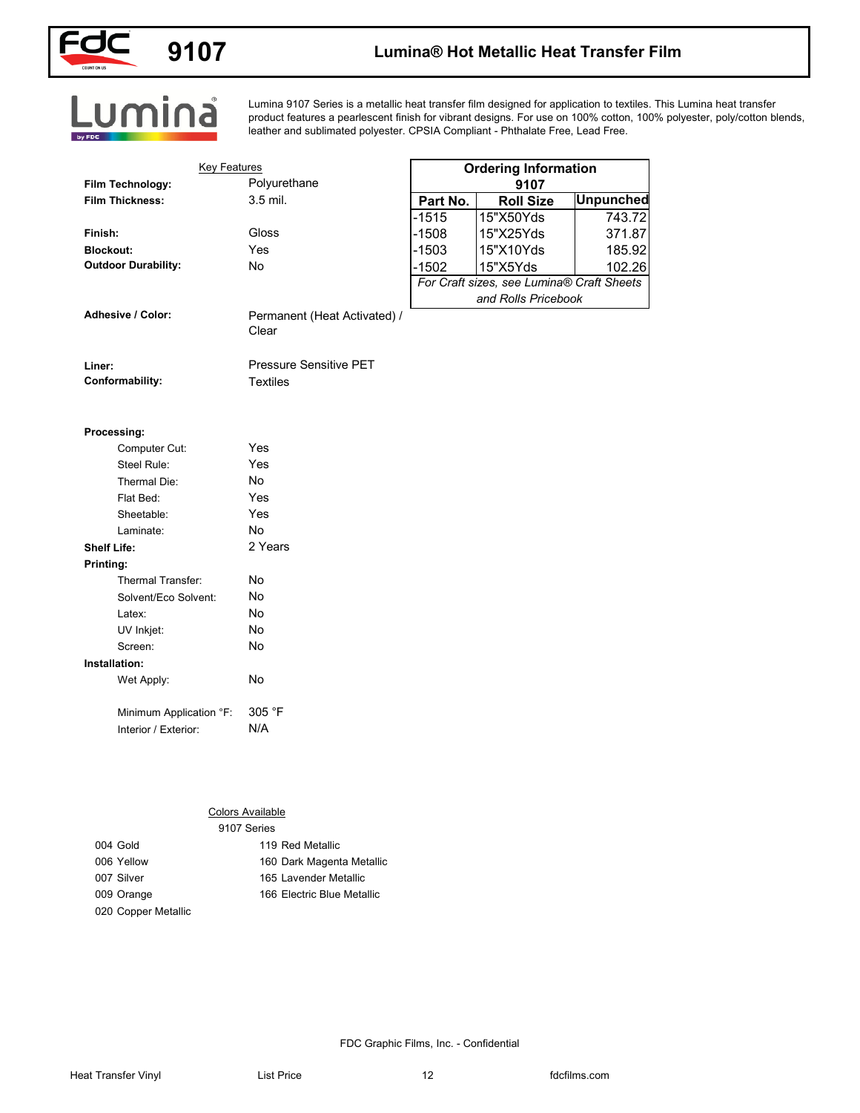

## **9107 Lumina® Hot Metallic Heat Transfer Film**

# Lumina

Lumina 9107 Series is a metallic heat transfer film designed for application to textiles. This Lumina heat transfer product features a pearlescent finish for vibrant designs. For use on 100% cotton, 100% polyester, poly/cotton blends, leather and sublimated polyester. CPSIA Compliant - Phthalate Free, Lead Free.

| <b>Key Features</b>        |                              |          | <b>Ordering Information</b>                           |                  |
|----------------------------|------------------------------|----------|-------------------------------------------------------|------------------|
| Film Technology:           | Polyurethane                 |          | 9107                                                  |                  |
| <b>Film Thickness:</b>     | 3.5 mil.                     | Part No. | <b>Roll Size</b>                                      | <b>Unpunched</b> |
|                            |                              | $-1515$  | 15"X50Yds                                             | 743.72           |
| Finish:                    | Gloss                        | $-1508$  | 15"X25Yds                                             | 371.87           |
| <b>Blockout:</b>           | Yes                          | $-1503$  | 15"X10Yds                                             | 185.92           |
| <b>Outdoor Durability:</b> | No                           | $-1502$  | 15"X5Yds<br>For Craft sizes, see Lumina® Craft Sheets | 102.26           |
|                            |                              |          | and Rolls Pricebook                                   |                  |
| Adhesive / Color:          | Permanent (Heat Activated) / |          |                                                       |                  |
|                            | Clear                        |          |                                                       |                  |
|                            |                              |          |                                                       |                  |
| Liner:                     | Pressure Sensitive PET       |          |                                                       |                  |
| Conformability:            | <b>Textiles</b>              |          |                                                       |                  |
|                            |                              |          |                                                       |                  |
| Processing:                |                              |          |                                                       |                  |
| Computer Cut:              | Yes                          |          |                                                       |                  |
| Steel Rule:                | Yes                          |          |                                                       |                  |
| Thermal Die:               | No                           |          |                                                       |                  |
| Flat Bed:                  | Yes                          |          |                                                       |                  |
| Sheetable:                 | Yes                          |          |                                                       |                  |
| Laminate:                  | No                           |          |                                                       |                  |
| <b>Shelf Life:</b>         | 2 Years                      |          |                                                       |                  |
| Printing:                  |                              |          |                                                       |                  |
| Thermal Transfer:          | No                           |          |                                                       |                  |
| Solvent/Eco Solvent:       | No                           |          |                                                       |                  |
| Latex:                     | No                           |          |                                                       |                  |
| UV Inkjet:                 | No                           |          |                                                       |                  |
| Screen:                    | No                           |          |                                                       |                  |
| Installation:              |                              |          |                                                       |                  |
| Wet Apply:                 | No                           |          |                                                       |                  |
| Minimum Application °F:    | 305 °F                       |          |                                                       |                  |
| Interior / Exterior:       | N/A                          |          |                                                       |                  |
|                            |                              |          |                                                       |                  |
|                            |                              |          |                                                       |                  |
|                            |                              |          |                                                       |                  |
|                            |                              |          |                                                       |                  |
|                            | <b>Colors Available</b>      |          |                                                       |                  |
|                            | 9107 Series                  |          |                                                       |                  |
| 004 Gold                   | 119 Red Metallic             |          |                                                       |                  |
| 006 Yellow                 | 160 Dark Magenta Metallic    |          |                                                       |                  |
| 007 Silver                 | 165 Lavender Metallic        |          |                                                       |                  |
| 009 Orange                 | 166 Electric Blue Metallic   |          |                                                       |                  |
| 020 Copper Metallic        |                              |          |                                                       |                  |
|                            |                              |          |                                                       |                  |

| Yes     |
|---------|
| N٥      |
| Yes     |
| Yes     |
| N٥      |
| 2 Years |
|         |
| N٥      |
| N٥      |
| N٥      |
| No      |
| No      |
|         |
| No      |
| 305 °F  |
| N/A     |
|         |

### Colors Available

|                     | 9107 Series                |  |
|---------------------|----------------------------|--|
| 004 Gold            | 119 Red Metallic           |  |
| 006 Yellow          | 160 Dark Magenta Metallic  |  |
| 007 Silver          | 165 Lavender Metallic      |  |
| 009 Orange          | 166 Electric Blue Metallic |  |
| 020 Copper Metallic |                            |  |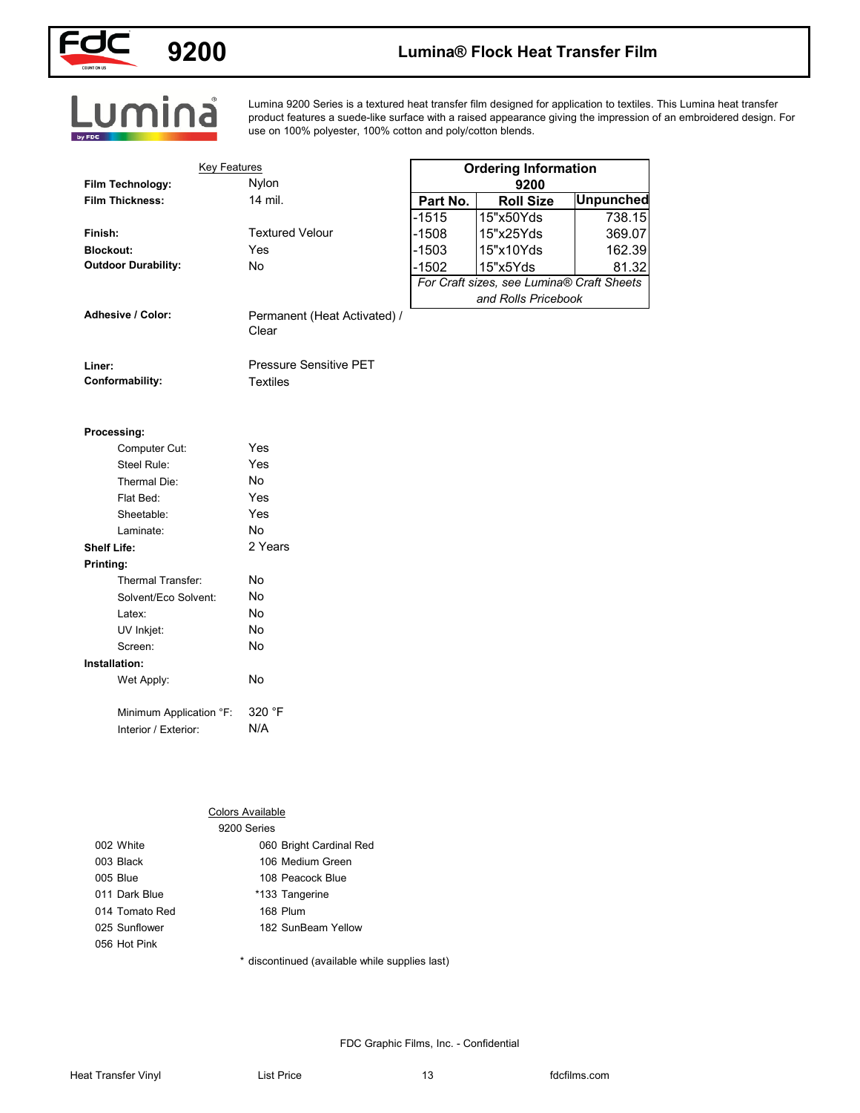

# **9200 Lumina® Flock Heat Transfer Film**

# Lumina

Lumina 9200 Series is a textured heat transfer film designed for application to textiles. This Lumina heat transfer product features a suede-like surface with a raised appearance giving the impression of an embroidered design. For use on 100% polyester, 100% cotton and poly/cotton blends.

| Nylon<br>Film Technology:<br>9200<br>14 mil.<br><b>Film Thickness:</b><br>Part No.<br><b>Roll Size</b><br>$-1515$<br>15"x50Yds<br><b>Textured Velour</b><br>$-1508$<br>15"x25Yds<br>Finish:<br>Yes<br>$-1503$<br>15"x10Yds<br><b>Blockout:</b><br><b>Outdoor Durability:</b><br>No<br>$-1502$<br>15"x5Yds<br>For Craft sizes, see Lumina® Craft Sheets<br>and Rolls Pricebook<br>Adhesive / Color:<br>Permanent (Heat Activated) /<br>Clear<br><b>Pressure Sensitive PET</b><br>Liner:<br><b>Textiles</b><br>Conformability:<br>Processing:<br>Yes<br>Computer Cut:<br>Yes<br>Steel Rule:<br>Thermal Die:<br>No<br>Flat Bed:<br>Yes<br>Yes<br>Sheetable:<br>No<br>Laminate:<br>2 Years<br><b>Shelf Life:</b><br>Printing:<br>Thermal Transfer:<br>No<br>No<br>Solvent/Eco Solvent:<br>No<br>Latex:<br>No<br>UV Inkjet:<br>No<br>Screen:<br>Installation:<br>No<br>Wet Apply: |
|------------------------------------------------------------------------------------------------------------------------------------------------------------------------------------------------------------------------------------------------------------------------------------------------------------------------------------------------------------------------------------------------------------------------------------------------------------------------------------------------------------------------------------------------------------------------------------------------------------------------------------------------------------------------------------------------------------------------------------------------------------------------------------------------------------------------------------------------------------------------------|
| <b>Unpunched</b><br>738.15                                                                                                                                                                                                                                                                                                                                                                                                                                                                                                                                                                                                                                                                                                                                                                                                                                                   |
| 369.07                                                                                                                                                                                                                                                                                                                                                                                                                                                                                                                                                                                                                                                                                                                                                                                                                                                                       |
| 162.39<br>81.32                                                                                                                                                                                                                                                                                                                                                                                                                                                                                                                                                                                                                                                                                                                                                                                                                                                              |
|                                                                                                                                                                                                                                                                                                                                                                                                                                                                                                                                                                                                                                                                                                                                                                                                                                                                              |
|                                                                                                                                                                                                                                                                                                                                                                                                                                                                                                                                                                                                                                                                                                                                                                                                                                                                              |
|                                                                                                                                                                                                                                                                                                                                                                                                                                                                                                                                                                                                                                                                                                                                                                                                                                                                              |
|                                                                                                                                                                                                                                                                                                                                                                                                                                                                                                                                                                                                                                                                                                                                                                                                                                                                              |
|                                                                                                                                                                                                                                                                                                                                                                                                                                                                                                                                                                                                                                                                                                                                                                                                                                                                              |
|                                                                                                                                                                                                                                                                                                                                                                                                                                                                                                                                                                                                                                                                                                                                                                                                                                                                              |
|                                                                                                                                                                                                                                                                                                                                                                                                                                                                                                                                                                                                                                                                                                                                                                                                                                                                              |
|                                                                                                                                                                                                                                                                                                                                                                                                                                                                                                                                                                                                                                                                                                                                                                                                                                                                              |
|                                                                                                                                                                                                                                                                                                                                                                                                                                                                                                                                                                                                                                                                                                                                                                                                                                                                              |
|                                                                                                                                                                                                                                                                                                                                                                                                                                                                                                                                                                                                                                                                                                                                                                                                                                                                              |
|                                                                                                                                                                                                                                                                                                                                                                                                                                                                                                                                                                                                                                                                                                                                                                                                                                                                              |
|                                                                                                                                                                                                                                                                                                                                                                                                                                                                                                                                                                                                                                                                                                                                                                                                                                                                              |
|                                                                                                                                                                                                                                                                                                                                                                                                                                                                                                                                                                                                                                                                                                                                                                                                                                                                              |
|                                                                                                                                                                                                                                                                                                                                                                                                                                                                                                                                                                                                                                                                                                                                                                                                                                                                              |
|                                                                                                                                                                                                                                                                                                                                                                                                                                                                                                                                                                                                                                                                                                                                                                                                                                                                              |
|                                                                                                                                                                                                                                                                                                                                                                                                                                                                                                                                                                                                                                                                                                                                                                                                                                                                              |
|                                                                                                                                                                                                                                                                                                                                                                                                                                                                                                                                                                                                                                                                                                                                                                                                                                                                              |
|                                                                                                                                                                                                                                                                                                                                                                                                                                                                                                                                                                                                                                                                                                                                                                                                                                                                              |
|                                                                                                                                                                                                                                                                                                                                                                                                                                                                                                                                                                                                                                                                                                                                                                                                                                                                              |
|                                                                                                                                                                                                                                                                                                                                                                                                                                                                                                                                                                                                                                                                                                                                                                                                                                                                              |
|                                                                                                                                                                                                                                                                                                                                                                                                                                                                                                                                                                                                                                                                                                                                                                                                                                                                              |
|                                                                                                                                                                                                                                                                                                                                                                                                                                                                                                                                                                                                                                                                                                                                                                                                                                                                              |
|                                                                                                                                                                                                                                                                                                                                                                                                                                                                                                                                                                                                                                                                                                                                                                                                                                                                              |
|                                                                                                                                                                                                                                                                                                                                                                                                                                                                                                                                                                                                                                                                                                                                                                                                                                                                              |
|                                                                                                                                                                                                                                                                                                                                                                                                                                                                                                                                                                                                                                                                                                                                                                                                                                                                              |
| 320 °F<br>Minimum Application °F:                                                                                                                                                                                                                                                                                                                                                                                                                                                                                                                                                                                                                                                                                                                                                                                                                                            |
| N/A<br>Interior / Exterior:                                                                                                                                                                                                                                                                                                                                                                                                                                                                                                                                                                                                                                                                                                                                                                                                                                                  |
|                                                                                                                                                                                                                                                                                                                                                                                                                                                                                                                                                                                                                                                                                                                                                                                                                                                                              |
|                                                                                                                                                                                                                                                                                                                                                                                                                                                                                                                                                                                                                                                                                                                                                                                                                                                                              |
|                                                                                                                                                                                                                                                                                                                                                                                                                                                                                                                                                                                                                                                                                                                                                                                                                                                                              |
|                                                                                                                                                                                                                                                                                                                                                                                                                                                                                                                                                                                                                                                                                                                                                                                                                                                                              |
| <b>Colors Available</b><br>9200 Series                                                                                                                                                                                                                                                                                                                                                                                                                                                                                                                                                                                                                                                                                                                                                                                                                                       |
| 002 White<br>060 Bright Cardinal Red                                                                                                                                                                                                                                                                                                                                                                                                                                                                                                                                                                                                                                                                                                                                                                                                                                         |
| 003 Black<br>106 Medium Green                                                                                                                                                                                                                                                                                                                                                                                                                                                                                                                                                                                                                                                                                                                                                                                                                                                |
| 005 Blue<br>108 Peacock Blue                                                                                                                                                                                                                                                                                                                                                                                                                                                                                                                                                                                                                                                                                                                                                                                                                                                 |
| 011 Dark Blue<br>*133 Tangerine                                                                                                                                                                                                                                                                                                                                                                                                                                                                                                                                                                                                                                                                                                                                                                                                                                              |
| 168 Plum<br>014 Tomato Red                                                                                                                                                                                                                                                                                                                                                                                                                                                                                                                                                                                                                                                                                                                                                                                                                                                   |
| 182 SunBeam Yellow<br>025 Sunflower                                                                                                                                                                                                                                                                                                                                                                                                                                                                                                                                                                                                                                                                                                                                                                                                                                          |

#### Colors Available

|                | 9200 Series             |
|----------------|-------------------------|
| 002 White      | 060 Bright Cardinal Red |
| 003 Black      | 106 Medium Green        |
| 005 Blue       | 108 Peacock Blue        |
| 011 Dark Blue  | *133 Tangerine          |
| 014 Tomato Red | 168 Plum                |
| 025 Sunflower  | 182 SunBeam Yellow      |
| 056 Hot Pink   |                         |
|                |                         |

\* discontinued (available while supplies last)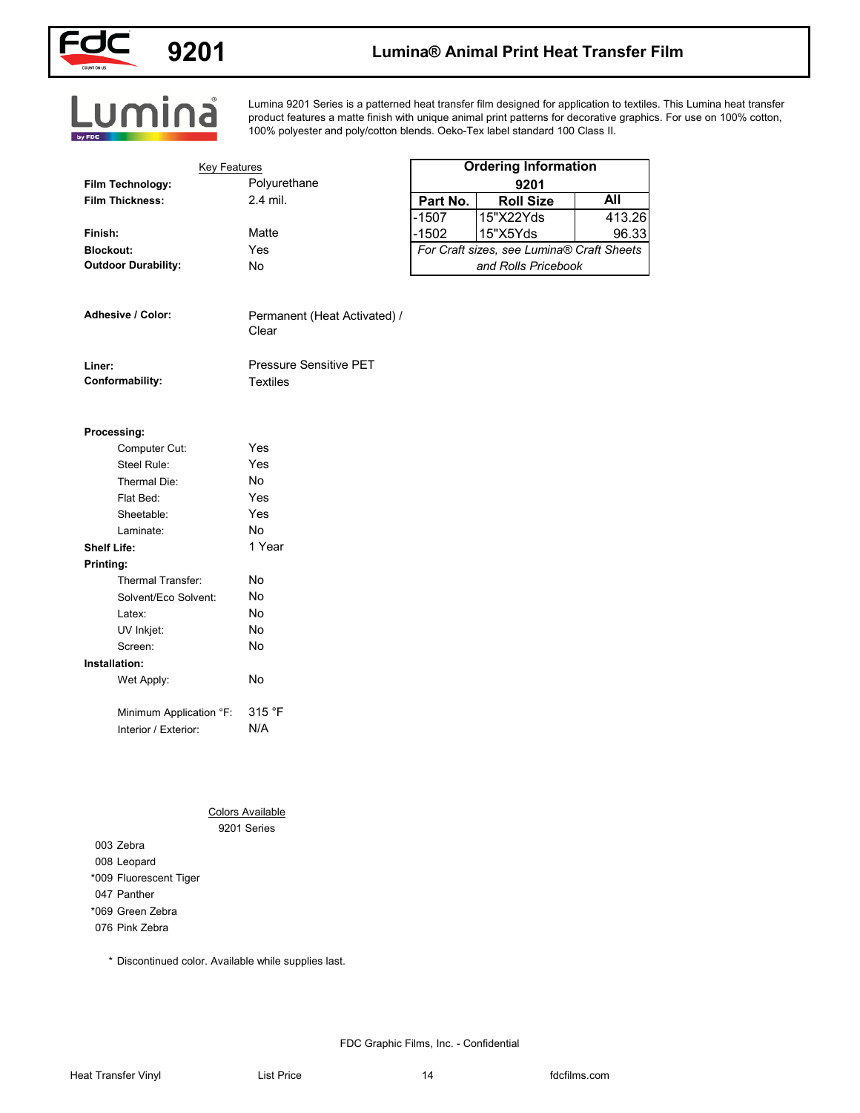

## **9201 Lumina® Animal Print Heat Transfer Film**

Lumina

Lumina 9201 Series is a patterned heat transfer film designed for application to textiles. This Lumina heat transfer product features a matte finish with unique animal print patterns for decorative graphics. For use on 100% cotton, 100% polyester and poly/cotton blends. Oeko-Tex label standard 100 Class II.

| <b>Key Features</b>             |                                       |          | <b>Ordering Information</b>               |            |
|---------------------------------|---------------------------------------|----------|-------------------------------------------|------------|
| Film Technology:                | Polyurethane                          |          | 9201                                      |            |
| <b>Film Thickness:</b>          | 2.4 mil.                              | Part No. | <b>Roll Size</b>                          | <b>All</b> |
|                                 |                                       | $-1507$  | 15"X22Yds                                 | 413.26     |
| Finish:                         | Matte                                 | $-1502$  | 15"X5Yds                                  | 96.33      |
| <b>Blockout:</b>                | Yes                                   |          | For Craft sizes, see Lumina® Craft Sheets |            |
| <b>Outdoor Durability:</b>      | No                                    |          | and Rolls Pricebook                       |            |
| Adhesive / Color:               | Permanent (Heat Activated) /<br>Clear |          |                                           |            |
| Liner:                          | <b>Pressure Sensitive PET</b>         |          |                                           |            |
| Conformability:                 | <b>Textiles</b>                       |          |                                           |            |
| Processing:                     |                                       |          |                                           |            |
| Computer Cut:                   | Yes                                   |          |                                           |            |
| Steel Rule:                     | Yes                                   |          |                                           |            |
| Thermal Die:                    | No                                    |          |                                           |            |
| Flat Bed:                       | Yes                                   |          |                                           |            |
| Sheetable:                      | Yes                                   |          |                                           |            |
| Laminate:                       | No                                    |          |                                           |            |
| <b>Shelf Life:</b>              | 1 Year                                |          |                                           |            |
| Printing:                       |                                       |          |                                           |            |
| Thermal Transfer:               | No                                    |          |                                           |            |
| Solvent/Eco Solvent:            | No                                    |          |                                           |            |
| Latex:                          | No                                    |          |                                           |            |
| UV Inkjet:                      | No                                    |          |                                           |            |
| Screen:                         | No                                    |          |                                           |            |
| Installation:                   |                                       |          |                                           |            |
| Wet Apply:                      | No                                    |          |                                           |            |
| Minimum Application °F:         | 315 °F                                |          |                                           |            |
| Interior / Exterior:            | N/A                                   |          |                                           |            |
|                                 |                                       |          |                                           |            |
|                                 |                                       |          |                                           |            |
|                                 | <b>Colors Available</b>               |          |                                           |            |
|                                 | 9201 Series                           |          |                                           |            |
| 003 Zebra                       |                                       |          |                                           |            |
| 008 Leopard                     |                                       |          |                                           |            |
| *009 Fluorescent Tiger          |                                       |          |                                           |            |
| 047 Panther<br>*069 Green Zebra |                                       |          |                                           |            |
| 076 Pink Zebra                  |                                       |          |                                           |            |
|                                 |                                       |          |                                           |            |

### **Processing:**

| Computer Cut:           | Yes    |
|-------------------------|--------|
| Steel Rule:             | Yes    |
| Thermal Die:            | No     |
| Flat Bed:               | Yes    |
| Sheetable:              | Yes    |
| Laminate:               | No     |
| Shelf Life:             | 1 Year |
| Printing:               |        |
| Thermal Transfer:       | N٥     |
| Solvent/Eco Solvent:    | No     |
| l atex <sup>-</sup>     | No     |
| UV Inkjet:              | No     |
| Screen:                 | No     |
| Installation:           |        |
| Wet Apply:              | No     |
| Minimum Application °F: | 315 °F |
| Interior / Exterior:    | N/A    |

\* Discontinued color. Available while supplies last.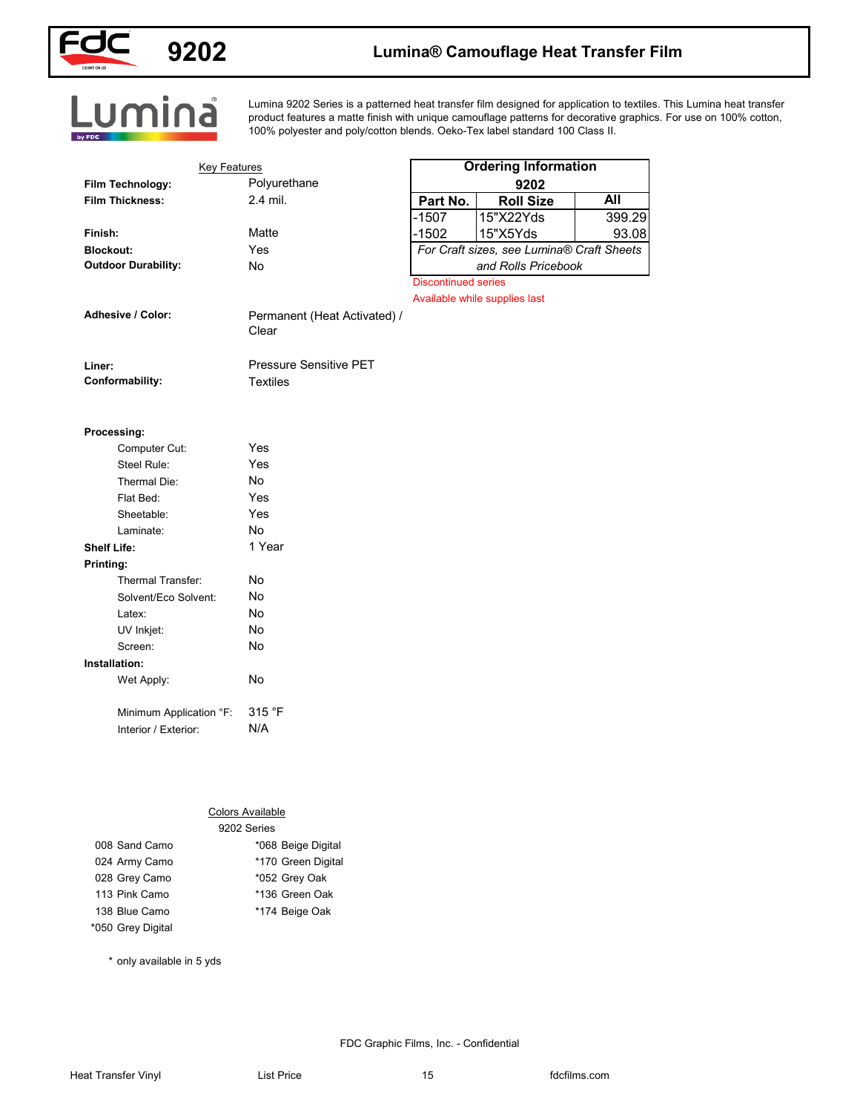

## **9202 Lumina® Camouflage Heat Transfer Film**

Lumina

Lumina 9202 Series is a patterned heat transfer film designed for application to textiles. This Lumina heat transfer product features a matte finish with unique camouflage patterns for decorative graphics. For use on 100% cotton, 100% polyester and poly/cotton blends. Oeko-Tex label standard 100 Class II.

| <b>Ordering Information</b><br>Polyurethane<br>Film Technology:<br>9202<br><b>All</b><br>2.4 mil.<br><b>Film Thickness:</b><br>Part No.<br><b>Roll Size</b><br>15"X22Yds<br>-1507<br>Matte<br>$-1502$<br>15"X5Yds<br>Finish:<br>For Craft sizes, see Lumina® Craft Sheets<br>Yes<br><b>Blockout:</b><br><b>Outdoor Durability:</b><br>and Rolls Pricebook<br>No<br><b>Discontinued series</b><br>Available while supplies last<br>Adhesive / Color:<br>Permanent (Heat Activated) /<br>Clear<br>Pressure Sensitive PET<br>Liner:<br>Conformability:<br><b>Textiles</b><br>Processing:<br>Yes<br>Computer Cut:<br>Yes<br>Steel Rule:<br>No<br>Thermal Die:<br>Flat Bed:<br>Yes<br>Yes<br>Sheetable:<br>No<br>Laminate:<br>1 Year<br><b>Shelf Life:</b><br>Printing:<br>Thermal Transfer:<br>No<br>No<br>Solvent/Eco Solvent:<br>No<br>Latex:<br>No<br>UV Inkjet:<br>No<br>Screen:<br>Installation:<br>Wet Apply:<br>No |
|-----------------------------------------------------------------------------------------------------------------------------------------------------------------------------------------------------------------------------------------------------------------------------------------------------------------------------------------------------------------------------------------------------------------------------------------------------------------------------------------------------------------------------------------------------------------------------------------------------------------------------------------------------------------------------------------------------------------------------------------------------------------------------------------------------------------------------------------------------------------------------------------------------------------------|
|                                                                                                                                                                                                                                                                                                                                                                                                                                                                                                                                                                                                                                                                                                                                                                                                                                                                                                                       |
| 399.29                                                                                                                                                                                                                                                                                                                                                                                                                                                                                                                                                                                                                                                                                                                                                                                                                                                                                                                |
| 93.08                                                                                                                                                                                                                                                                                                                                                                                                                                                                                                                                                                                                                                                                                                                                                                                                                                                                                                                 |
|                                                                                                                                                                                                                                                                                                                                                                                                                                                                                                                                                                                                                                                                                                                                                                                                                                                                                                                       |
|                                                                                                                                                                                                                                                                                                                                                                                                                                                                                                                                                                                                                                                                                                                                                                                                                                                                                                                       |
|                                                                                                                                                                                                                                                                                                                                                                                                                                                                                                                                                                                                                                                                                                                                                                                                                                                                                                                       |
|                                                                                                                                                                                                                                                                                                                                                                                                                                                                                                                                                                                                                                                                                                                                                                                                                                                                                                                       |
|                                                                                                                                                                                                                                                                                                                                                                                                                                                                                                                                                                                                                                                                                                                                                                                                                                                                                                                       |
|                                                                                                                                                                                                                                                                                                                                                                                                                                                                                                                                                                                                                                                                                                                                                                                                                                                                                                                       |
|                                                                                                                                                                                                                                                                                                                                                                                                                                                                                                                                                                                                                                                                                                                                                                                                                                                                                                                       |
|                                                                                                                                                                                                                                                                                                                                                                                                                                                                                                                                                                                                                                                                                                                                                                                                                                                                                                                       |
|                                                                                                                                                                                                                                                                                                                                                                                                                                                                                                                                                                                                                                                                                                                                                                                                                                                                                                                       |
|                                                                                                                                                                                                                                                                                                                                                                                                                                                                                                                                                                                                                                                                                                                                                                                                                                                                                                                       |
|                                                                                                                                                                                                                                                                                                                                                                                                                                                                                                                                                                                                                                                                                                                                                                                                                                                                                                                       |
|                                                                                                                                                                                                                                                                                                                                                                                                                                                                                                                                                                                                                                                                                                                                                                                                                                                                                                                       |
|                                                                                                                                                                                                                                                                                                                                                                                                                                                                                                                                                                                                                                                                                                                                                                                                                                                                                                                       |
|                                                                                                                                                                                                                                                                                                                                                                                                                                                                                                                                                                                                                                                                                                                                                                                                                                                                                                                       |
|                                                                                                                                                                                                                                                                                                                                                                                                                                                                                                                                                                                                                                                                                                                                                                                                                                                                                                                       |
|                                                                                                                                                                                                                                                                                                                                                                                                                                                                                                                                                                                                                                                                                                                                                                                                                                                                                                                       |
|                                                                                                                                                                                                                                                                                                                                                                                                                                                                                                                                                                                                                                                                                                                                                                                                                                                                                                                       |
|                                                                                                                                                                                                                                                                                                                                                                                                                                                                                                                                                                                                                                                                                                                                                                                                                                                                                                                       |
|                                                                                                                                                                                                                                                                                                                                                                                                                                                                                                                                                                                                                                                                                                                                                                                                                                                                                                                       |
|                                                                                                                                                                                                                                                                                                                                                                                                                                                                                                                                                                                                                                                                                                                                                                                                                                                                                                                       |
|                                                                                                                                                                                                                                                                                                                                                                                                                                                                                                                                                                                                                                                                                                                                                                                                                                                                                                                       |
|                                                                                                                                                                                                                                                                                                                                                                                                                                                                                                                                                                                                                                                                                                                                                                                                                                                                                                                       |
|                                                                                                                                                                                                                                                                                                                                                                                                                                                                                                                                                                                                                                                                                                                                                                                                                                                                                                                       |
|                                                                                                                                                                                                                                                                                                                                                                                                                                                                                                                                                                                                                                                                                                                                                                                                                                                                                                                       |
|                                                                                                                                                                                                                                                                                                                                                                                                                                                                                                                                                                                                                                                                                                                                                                                                                                                                                                                       |
|                                                                                                                                                                                                                                                                                                                                                                                                                                                                                                                                                                                                                                                                                                                                                                                                                                                                                                                       |
| 315 °F<br>Minimum Application °F:                                                                                                                                                                                                                                                                                                                                                                                                                                                                                                                                                                                                                                                                                                                                                                                                                                                                                     |
| N/A<br>Interior / Exterior:                                                                                                                                                                                                                                                                                                                                                                                                                                                                                                                                                                                                                                                                                                                                                                                                                                                                                           |
|                                                                                                                                                                                                                                                                                                                                                                                                                                                                                                                                                                                                                                                                                                                                                                                                                                                                                                                       |
|                                                                                                                                                                                                                                                                                                                                                                                                                                                                                                                                                                                                                                                                                                                                                                                                                                                                                                                       |
|                                                                                                                                                                                                                                                                                                                                                                                                                                                                                                                                                                                                                                                                                                                                                                                                                                                                                                                       |
|                                                                                                                                                                                                                                                                                                                                                                                                                                                                                                                                                                                                                                                                                                                                                                                                                                                                                                                       |
| <b>Colors Available</b><br>9202 Series                                                                                                                                                                                                                                                                                                                                                                                                                                                                                                                                                                                                                                                                                                                                                                                                                                                                                |
| 008 Sand Camo<br>*068 Beige Digital                                                                                                                                                                                                                                                                                                                                                                                                                                                                                                                                                                                                                                                                                                                                                                                                                                                                                   |
| *170 Green Digital<br>024 Army Camo                                                                                                                                                                                                                                                                                                                                                                                                                                                                                                                                                                                                                                                                                                                                                                                                                                                                                   |
| 028 Grey Camo<br>*052 Grey Oak                                                                                                                                                                                                                                                                                                                                                                                                                                                                                                                                                                                                                                                                                                                                                                                                                                                                                        |
| 113 Pink Camo<br>*136 Green Oak                                                                                                                                                                                                                                                                                                                                                                                                                                                                                                                                                                                                                                                                                                                                                                                                                                                                                       |
| 138 Blue Camo<br>*174 Beige Oak                                                                                                                                                                                                                                                                                                                                                                                                                                                                                                                                                                                                                                                                                                                                                                                                                                                                                       |
| *050 Grey Digital                                                                                                                                                                                                                                                                                                                                                                                                                                                                                                                                                                                                                                                                                                                                                                                                                                                                                                     |

### **Shelf Life: Printing:**

| Thermal Transfer        | N٥     |
|-------------------------|--------|
| Solvent/Eco Solvent:    | No     |
| l atex <sup>.</sup>     | No     |
| UV Inkjet:              | N٥     |
| Screen:                 | No     |
| Installation:           |        |
| Wet Apply:              | N٥     |
|                         |        |
| Minimum Application °F: | 315 °F |
| Interior / Exterior:    | N/A    |

#### Colors Available

|                   | 9202 Series        |
|-------------------|--------------------|
| 008 Sand Camo     | *068 Beige Digital |
| 024 Army Camo     | *170 Green Digital |
| 028 Grey Camo     | *052 Grey Oak      |
| 113 Pink Camo     | *136 Green Oak     |
| 138 Blue Camo     | *174 Beige Oak     |
| *050 Grey Digital |                    |

\* only available in 5 yds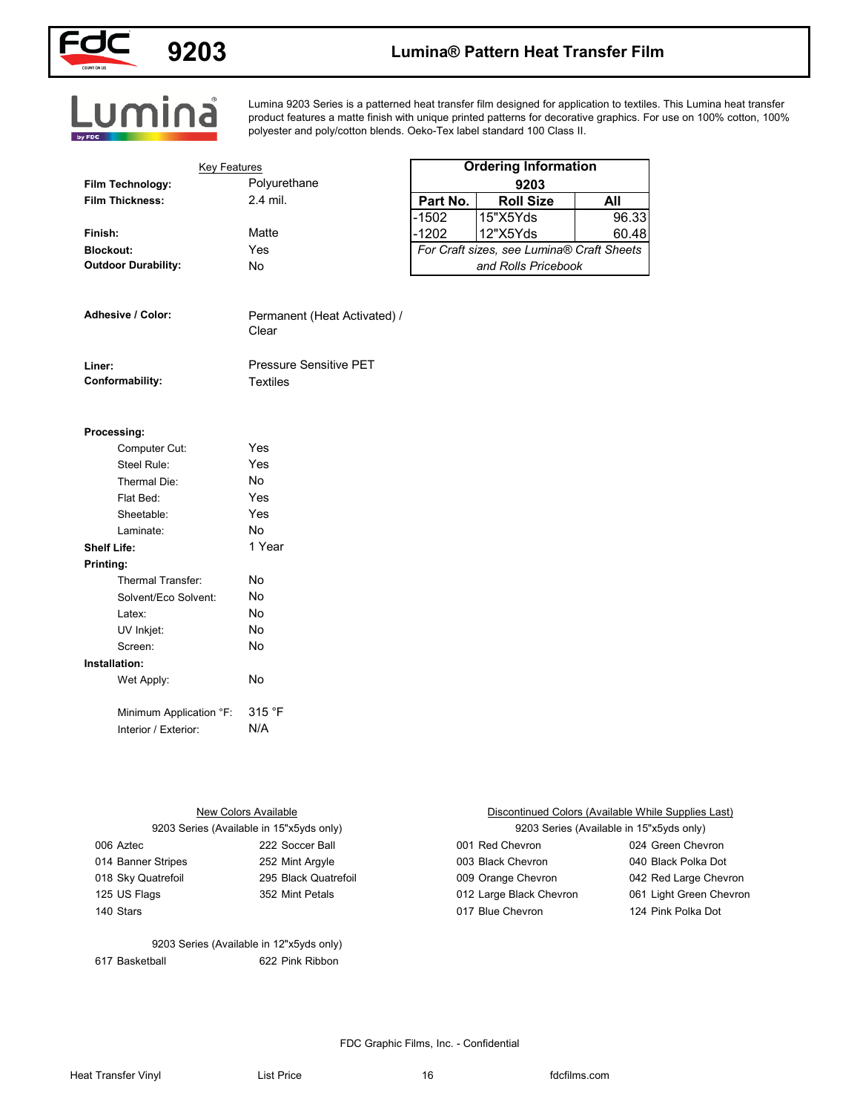

## **9203 Lumina® Pattern Heat Transfer Film**

Lumina

Lumina 9203 Series is a patterned heat transfer film designed for application to textiles. This Lumina heat transfer product features a matte finish with unique printed patterns for decorative graphics. For use on 100% cotton, 100% polyester and poly/cotton blends. Oeko-Tex label standard 100 Class II.

|                            | <b>Key Features</b> |          | <b>Ordering Information</b>               |       |
|----------------------------|---------------------|----------|-------------------------------------------|-------|
| Film Technology:           | Polyurethane        |          | 9203                                      |       |
| <b>Film Thickness:</b>     | $2.4$ mil.          | Part No. | <b>Roll Size</b>                          | All   |
|                            |                     | $-1502$  | 15"X5Yds                                  | 96.33 |
| Finish:                    | Matte               | $-1202$  | 12"X5Yds                                  | 60.48 |
| <b>Blockout:</b>           | Yes                 |          | For Craft sizes, see Lumina® Craft Sheets |       |
| <b>Outdoor Durability:</b> | No                  |          | and Rolls Pricebook                       |       |

#### **Processing:**

|                    | Computer Cut:           | Yes    |
|--------------------|-------------------------|--------|
|                    | Steel Rule:             | Yes    |
|                    | Thermal Die:            | N٥     |
|                    | Flat Bed:               | Yes    |
|                    | Sheetable:              | Yes    |
|                    | Laminate:               | No     |
| <b>Shelf Life:</b> |                         | 1 Year |
| Printing:          |                         |        |
|                    | Thermal Transfer:       | No     |
|                    | Solvent/Eco Solvent:    | No     |
|                    | Latex:                  | No     |
|                    | UV Inkjet:              | No     |
|                    | Screen:                 | No     |
| Installation:      |                         |        |
|                    | Wet Apply:              | No     |
|                    |                         |        |
|                    | Minimum Application °F: | 315 °F |
|                    | Interior / Exterior:    | N/A    |

| 12"X5Yds<br>Matte<br>$-1202$<br>60.48<br>For Craft sizes, see Lumina® Craft Sheets<br>Yes<br>and Rolls Pricebook<br>No<br>Permanent (Heat Activated) /<br>Clear<br><b>Pressure Sensitive PET</b><br><b>Textiles</b><br>Yes<br>Computer Cut:<br>Yes<br>Steel Rule:<br>No<br>Thermal Die:<br>Yes<br>Flat Bed:<br>Yes<br>Sheetable:<br><b>No</b><br>Laminate:<br>1 Year<br>Thermal Transfer:<br>No<br>No<br>Solvent/Eco Solvent:<br>No<br>Latex:<br>UV Inkjet:<br>No<br>No<br>Screen:<br>Wet Apply:<br>No<br>315 °F<br>Minimum Application °F: | N/A<br>Interior / Exterior: | <b>Film Thickness:</b>    | 2.4 mil.        | Part No. | <b>Roll Size</b>                            | All                     |  |
|---------------------------------------------------------------------------------------------------------------------------------------------------------------------------------------------------------------------------------------------------------------------------------------------------------------------------------------------------------------------------------------------------------------------------------------------------------------------------------------------------------------------------------------------|-----------------------------|---------------------------|-----------------|----------|---------------------------------------------|-------------------------|--|
|                                                                                                                                                                                                                                                                                                                                                                                                                                                                                                                                             |                             |                           |                 | $-1502$  | 15"X5Yds                                    | 96.33                   |  |
| <b>Blockout:</b><br><b>Outdoor Durability:</b><br>Adhesive / Color:<br>Liner:<br>Conformability:<br>Processing:<br><b>Shelf Life:</b><br>Printing:<br>Installation:                                                                                                                                                                                                                                                                                                                                                                         |                             | Finish:                   |                 |          |                                             |                         |  |
|                                                                                                                                                                                                                                                                                                                                                                                                                                                                                                                                             |                             |                           |                 |          |                                             |                         |  |
|                                                                                                                                                                                                                                                                                                                                                                                                                                                                                                                                             |                             |                           |                 |          |                                             |                         |  |
|                                                                                                                                                                                                                                                                                                                                                                                                                                                                                                                                             |                             |                           |                 |          |                                             |                         |  |
|                                                                                                                                                                                                                                                                                                                                                                                                                                                                                                                                             |                             |                           |                 |          |                                             |                         |  |
|                                                                                                                                                                                                                                                                                                                                                                                                                                                                                                                                             |                             |                           |                 |          |                                             |                         |  |
|                                                                                                                                                                                                                                                                                                                                                                                                                                                                                                                                             |                             |                           |                 |          |                                             |                         |  |
|                                                                                                                                                                                                                                                                                                                                                                                                                                                                                                                                             |                             |                           |                 |          |                                             |                         |  |
|                                                                                                                                                                                                                                                                                                                                                                                                                                                                                                                                             |                             |                           |                 |          |                                             |                         |  |
|                                                                                                                                                                                                                                                                                                                                                                                                                                                                                                                                             |                             |                           |                 |          |                                             |                         |  |
|                                                                                                                                                                                                                                                                                                                                                                                                                                                                                                                                             |                             |                           |                 |          |                                             |                         |  |
|                                                                                                                                                                                                                                                                                                                                                                                                                                                                                                                                             |                             |                           |                 |          |                                             |                         |  |
|                                                                                                                                                                                                                                                                                                                                                                                                                                                                                                                                             |                             |                           |                 |          |                                             |                         |  |
|                                                                                                                                                                                                                                                                                                                                                                                                                                                                                                                                             |                             |                           |                 |          |                                             |                         |  |
|                                                                                                                                                                                                                                                                                                                                                                                                                                                                                                                                             |                             |                           |                 |          |                                             |                         |  |
|                                                                                                                                                                                                                                                                                                                                                                                                                                                                                                                                             |                             |                           |                 |          |                                             |                         |  |
|                                                                                                                                                                                                                                                                                                                                                                                                                                                                                                                                             |                             |                           |                 |          |                                             |                         |  |
|                                                                                                                                                                                                                                                                                                                                                                                                                                                                                                                                             |                             |                           |                 |          |                                             |                         |  |
|                                                                                                                                                                                                                                                                                                                                                                                                                                                                                                                                             |                             |                           |                 |          |                                             |                         |  |
|                                                                                                                                                                                                                                                                                                                                                                                                                                                                                                                                             |                             |                           |                 |          |                                             |                         |  |
|                                                                                                                                                                                                                                                                                                                                                                                                                                                                                                                                             |                             |                           |                 |          |                                             |                         |  |
|                                                                                                                                                                                                                                                                                                                                                                                                                                                                                                                                             |                             |                           |                 |          |                                             |                         |  |
|                                                                                                                                                                                                                                                                                                                                                                                                                                                                                                                                             |                             |                           |                 |          |                                             |                         |  |
|                                                                                                                                                                                                                                                                                                                                                                                                                                                                                                                                             |                             |                           |                 |          |                                             |                         |  |
|                                                                                                                                                                                                                                                                                                                                                                                                                                                                                                                                             |                             |                           |                 |          |                                             |                         |  |
|                                                                                                                                                                                                                                                                                                                                                                                                                                                                                                                                             |                             |                           |                 |          |                                             |                         |  |
|                                                                                                                                                                                                                                                                                                                                                                                                                                                                                                                                             |                             |                           |                 |          |                                             |                         |  |
|                                                                                                                                                                                                                                                                                                                                                                                                                                                                                                                                             |                             |                           |                 |          |                                             |                         |  |
|                                                                                                                                                                                                                                                                                                                                                                                                                                                                                                                                             |                             |                           |                 |          |                                             |                         |  |
|                                                                                                                                                                                                                                                                                                                                                                                                                                                                                                                                             |                             |                           |                 |          |                                             |                         |  |
| <b>New Colors Available</b><br>Discontinued Colors (Available While Supplies Last)                                                                                                                                                                                                                                                                                                                                                                                                                                                          |                             |                           |                 |          |                                             |                         |  |
| 9203 Series (Available in 15"x5yds only)<br>9203 Series (Available in 15"x5yds only)                                                                                                                                                                                                                                                                                                                                                                                                                                                        |                             |                           |                 |          |                                             |                         |  |
| 222 Soccer Ball<br>001 Red Chevron<br>024 Green Chevron<br>006 Aztec                                                                                                                                                                                                                                                                                                                                                                                                                                                                        |                             |                           |                 |          |                                             |                         |  |
| 014 Banner Stripes<br>003 Black Chevron<br>040 Black Polka Dot<br>252 Mint Argyle                                                                                                                                                                                                                                                                                                                                                                                                                                                           |                             |                           |                 |          |                                             |                         |  |
| 018 Sky Quatrefoil<br>295 Black Quatrefoil<br>009 Orange Chevron<br>042 Red Large Chevron                                                                                                                                                                                                                                                                                                                                                                                                                                                   |                             |                           |                 |          |                                             | 061 Light Green Chevron |  |
|                                                                                                                                                                                                                                                                                                                                                                                                                                                                                                                                             |                             | 125 US Flags<br>140 Stars | 352 Mint Petals |          | 012 Large Black Chevron<br>017 Blue Chevron | 124 Pink Polka Dot      |  |

617 Basketball 622 Pink Ribbon 9203 Series (Available in 12"x5yds only)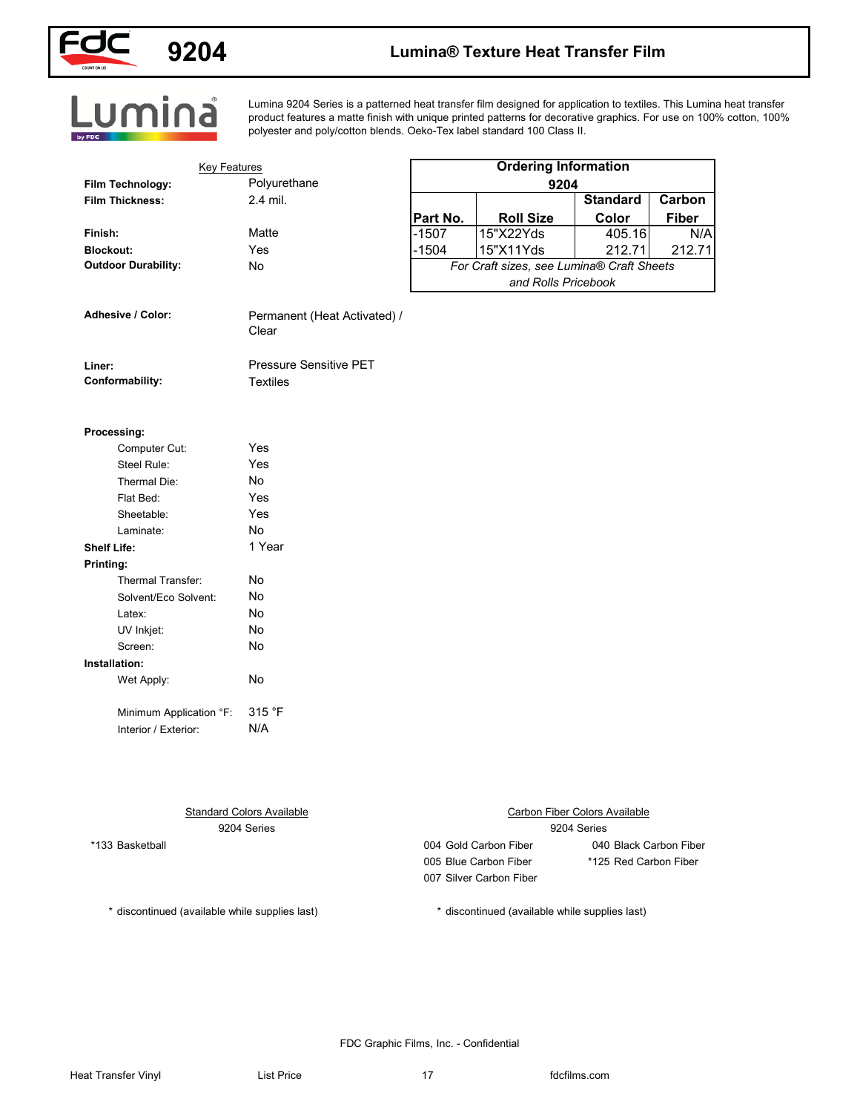

# **9204 Lumina® Texture Heat Transfer Film**

Lumina 9204 Series is a patterned heat transfer film designed for application to textiles. This Lumina heat transfer product features a matte finish with unique printed patterns for decorative graphics. For use on 100% cotton, 100% polyester and poly/cotton blends. Oeko-Tex label standard 100 Class II.

| <b>Key Features</b><br>Film Technology:        | Polyurethane                          | <b>Ordering Information</b> |                                                |                                      |                        |  |
|------------------------------------------------|---------------------------------------|-----------------------------|------------------------------------------------|--------------------------------------|------------------------|--|
| <b>Film Thickness:</b>                         | 2.4 mil.                              | 9204<br><b>Standard</b>     |                                                |                                      |                        |  |
|                                                |                                       | Part No.                    | <b>Roll Size</b>                               | Color                                | Carbon<br><b>Fiber</b> |  |
| Finish:                                        | Matte                                 | $-1507$                     | 15"X22Yds                                      | 405.16                               | N/A                    |  |
| <b>Blockout:</b>                               | Yes                                   | $-1504$                     | 15"X11Yds                                      | 212.71                               | 212.71                 |  |
| <b>Outdoor Durability:</b>                     | No                                    |                             | For Craft sizes, see Lumina® Craft Sheets      |                                      |                        |  |
|                                                |                                       |                             | and Rolls Pricebook                            |                                      |                        |  |
| Adhesive / Color:                              | Permanent (Heat Activated) /<br>Clear |                             |                                                |                                      |                        |  |
| Liner:                                         | <b>Pressure Sensitive PET</b>         |                             |                                                |                                      |                        |  |
| Conformability:                                | <b>Textiles</b>                       |                             |                                                |                                      |                        |  |
|                                                |                                       |                             |                                                |                                      |                        |  |
| Processing:                                    |                                       |                             |                                                |                                      |                        |  |
| Computer Cut:                                  | Yes                                   |                             |                                                |                                      |                        |  |
| Steel Rule:                                    | Yes                                   |                             |                                                |                                      |                        |  |
| Thermal Die:                                   | No                                    |                             |                                                |                                      |                        |  |
| Flat Bed:                                      | Yes                                   |                             |                                                |                                      |                        |  |
| Sheetable:                                     | Yes                                   |                             |                                                |                                      |                        |  |
| Laminate:                                      | No                                    |                             |                                                |                                      |                        |  |
| <b>Shelf Life:</b>                             | 1 Year                                |                             |                                                |                                      |                        |  |
| Printing:                                      |                                       |                             |                                                |                                      |                        |  |
| Thermal Transfer:                              | No                                    |                             |                                                |                                      |                        |  |
| Solvent/Eco Solvent:                           | No                                    |                             |                                                |                                      |                        |  |
| Latex:                                         | No                                    |                             |                                                |                                      |                        |  |
| UV Inkjet:                                     | No                                    |                             |                                                |                                      |                        |  |
| Screen:                                        | No                                    |                             |                                                |                                      |                        |  |
| Installation:                                  |                                       |                             |                                                |                                      |                        |  |
| Wet Apply:                                     | No                                    |                             |                                                |                                      |                        |  |
| Minimum Application °F:                        | 315 °F                                |                             |                                                |                                      |                        |  |
| Interior / Exterior:                           | N/A                                   |                             |                                                |                                      |                        |  |
|                                                |                                       |                             |                                                |                                      |                        |  |
|                                                | <b>Standard Colors Available</b>      |                             |                                                | <b>Carbon Fiber Colors Available</b> |                        |  |
|                                                | 9204 Series                           |                             |                                                | 9204 Series                          |                        |  |
| *133 Basketball                                |                                       |                             | 004 Gold Carbon Fiber                          | 040 Black Carbon Fiber               |                        |  |
|                                                |                                       |                             | 005 Blue Carbon Fiber                          | *125 Red Carbon Fiber                |                        |  |
|                                                |                                       |                             | 007 Silver Carbon Fiber                        |                                      |                        |  |
|                                                |                                       |                             |                                                |                                      |                        |  |
| * discontinued (available while supplies last) |                                       |                             | * discontinued (available while supplies last) |                                      |                        |  |
|                                                |                                       |                             |                                                |                                      |                        |  |
|                                                |                                       |                             |                                                |                                      |                        |  |

FDC Graphic Films, Inc. - Confidential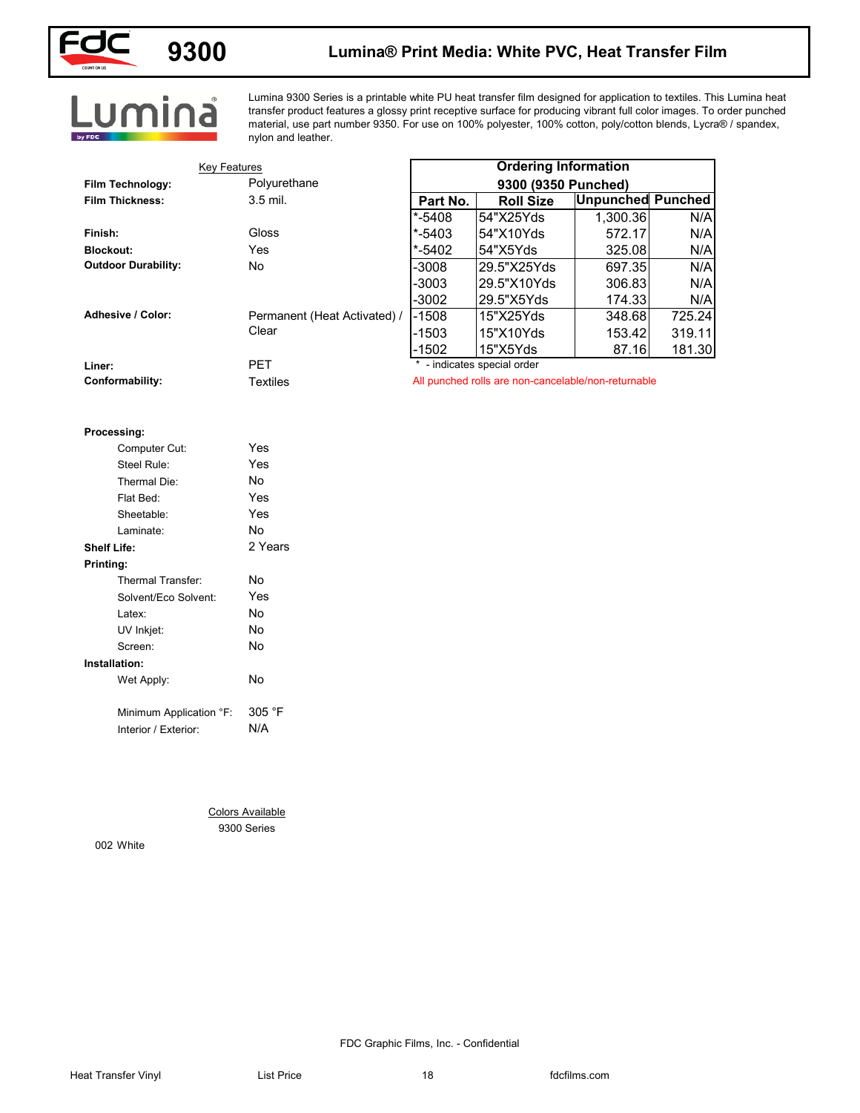

### **Lumina® Print Media: White PVC, Heat Transfer Film**

# Lumina

Lumina 9300 Series is a printable white PU heat transfer film designed for application to textiles. This Lumina heat transfer product features a glossy print receptive surface for producing vibrant full color images. To order punched material, use part number 9350. For use on 100% polyester, 100% cotton, poly/cotton blends, Lycra® / spandex, nylon and leather.

| <b>Key Features</b>        |                              |            | <b>Ordering Information</b>                         |                          |        |
|----------------------------|------------------------------|------------|-----------------------------------------------------|--------------------------|--------|
| Film Technology:           | Polyurethane                 |            | 9300 (9350 Punched)                                 |                          |        |
| <b>Film Thickness:</b>     | 3.5 mil.                     | Part No.   | <b>Roll Size</b>                                    | <b>Unpunched Punched</b> |        |
|                            |                              | $* - 5408$ | 54"X25Yds                                           | 1,300.36                 | N/A    |
| Finish:                    | Gloss                        | $* - 5403$ | 54"X10Yds                                           | 572.17                   | N/A    |
| <b>Blockout:</b>           | Yes                          | $* - 5402$ | 54"X5Yds                                            | 325.08                   | N/A    |
| <b>Outdoor Durability:</b> | No                           | $-3008$    | 29.5"X25Yds                                         | 697.35                   | N/A    |
|                            |                              | -3003      | 29.5"X10Yds                                         | 306.83                   | N/A    |
|                            |                              | $-3002$    | 29.5"X5Yds                                          | 174.33                   | N/A    |
| Adhesive / Color:          | Permanent (Heat Activated) / | $-1508$    | 15"X25Yds                                           | 348.68                   | 725.24 |
|                            | Clear                        | $-1503$    | 15"X10Yds                                           | 153.42                   | 319.11 |
|                            |                              | $-1502$    | 15"X5Yds<br>* - indicates special order             | 87.16                    | 181.30 |
| Liner:<br>Conformability:  | PET<br><b>Textiles</b>       |            | All punched rolls are non-cancelable/non-returnable |                          |        |
|                            |                              |            |                                                     |                          |        |
|                            |                              |            |                                                     |                          |        |
| Processing:                |                              |            |                                                     |                          |        |
| Computer Cut:              | Yes                          |            |                                                     |                          |        |
| Steel Rule:                | Yes                          |            |                                                     |                          |        |
| Thermal Die:               | No                           |            |                                                     |                          |        |
| Flat Bed:                  | Yes                          |            |                                                     |                          |        |
| Sheetable:                 | Yes                          |            |                                                     |                          |        |
| Laminate:                  | No                           |            |                                                     |                          |        |
| <b>Shelf Life:</b>         | 2 Years                      |            |                                                     |                          |        |
| Printing:                  |                              |            |                                                     |                          |        |
| Thermal Transfer:          | No                           |            |                                                     |                          |        |
| Solvent/Eco Solvent:       | Yes                          |            |                                                     |                          |        |
| Latex:                     | No                           |            |                                                     |                          |        |
| UV Inkjet:                 | No                           |            |                                                     |                          |        |
| Screen:                    | No                           |            |                                                     |                          |        |
| Installation:              |                              |            |                                                     |                          |        |
| Wet Apply:                 | No                           |            |                                                     |                          |        |
|                            |                              |            |                                                     |                          |        |
| Minimum Application °F:    | 305 °F                       |            |                                                     |                          |        |
| Interior / Exterior:       | N/A                          |            |                                                     |                          |        |
|                            |                              |            |                                                     |                          |        |
|                            |                              |            |                                                     |                          |        |
|                            |                              |            |                                                     |                          |        |
|                            |                              |            |                                                     |                          |        |
|                            | <b>Colors Available</b>      |            |                                                     |                          |        |
|                            | 9300 Series                  |            |                                                     |                          |        |
| 002 White                  |                              |            |                                                     |                          |        |
|                            |                              |            |                                                     |                          |        |
|                            |                              |            |                                                     |                          |        |
|                            |                              |            |                                                     |                          |        |
|                            |                              |            |                                                     |                          |        |
|                            |                              |            |                                                     |                          |        |

#### **Processing:**

| Computer Cut:        |                         | Yes     |
|----------------------|-------------------------|---------|
| Steel Rule:          |                         | Yes     |
| Thermal Die:         |                         | No      |
| Flat Bed:            |                         | Yes     |
| Sheetable:           |                         | Yes     |
| Laminate:            |                         | No      |
| <b>Shelf Life:</b>   |                         | 2 Years |
| Printing:            |                         |         |
| Thermal Transfer:    |                         | No      |
|                      | Solvent/Eco Solvent:    | Yes     |
| Latex:               |                         | No      |
| UV Inkjet:           |                         | No      |
| Screen:              |                         | No      |
| Installation:        |                         |         |
| Wet Apply:           |                         | No      |
|                      |                         |         |
|                      | Minimum Application °F: | 305 °F  |
| Interior / Exterior: |                         | N/A     |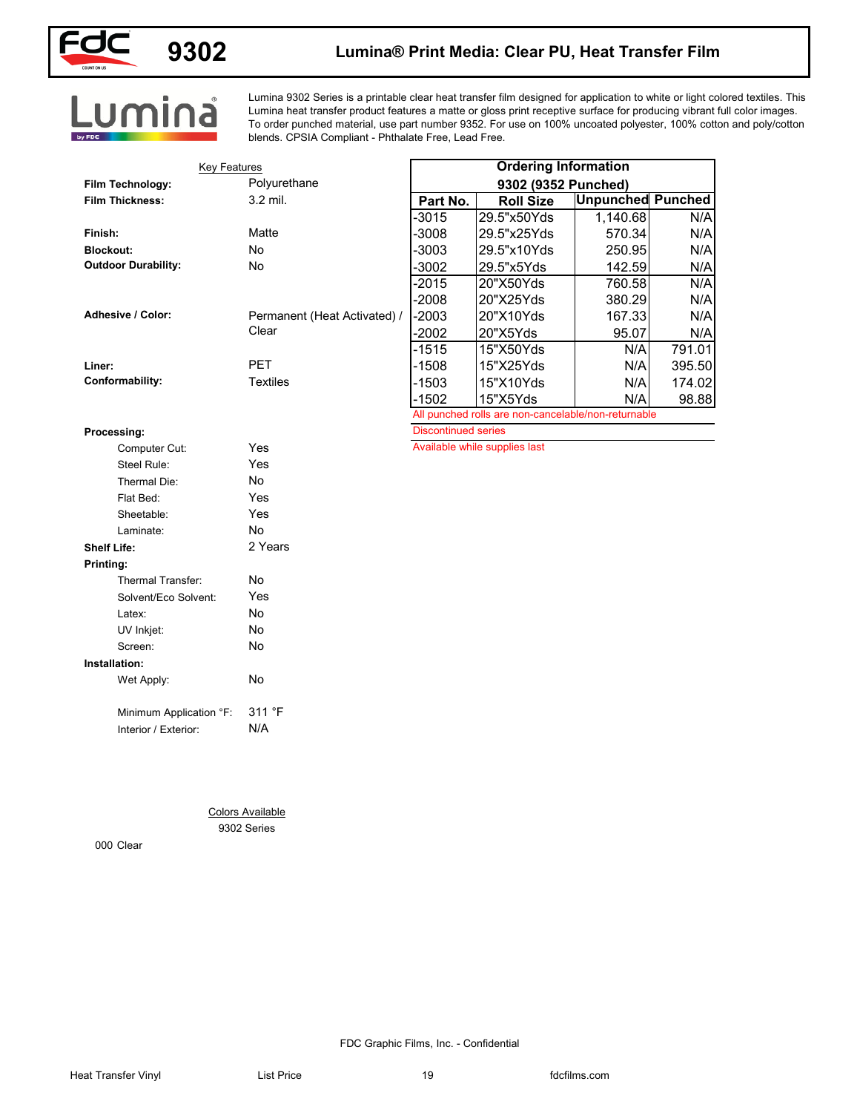

## **9302**

### **Lumina® Print Media: Clear PU, Heat Transfer Film**

Lumina 9302 Series is a printable clear heat transfer film designed for application to white or light colored textiles. This Lumina heat transfer product features a matte or gloss print receptive surface for producing vibrant full color images. To order punched material, use part number 9352. For use on 100% uncoated polyester, 100% cotton and poly/cotton blends. CPSIA Compliant - Phthalate Free, Lead Free.

| <b>Unpunched Punched</b><br>N/A<br>N/A<br>N/A |
|-----------------------------------------------|
|                                               |
|                                               |
|                                               |
|                                               |
|                                               |
| N/A                                           |
| N/A                                           |
| N/A                                           |
| N/A                                           |
| N/A                                           |
| 791.01                                        |
| 395.50                                        |
| 174.02                                        |
| 98.88                                         |
|                                               |
|                                               |
|                                               |
|                                               |
|                                               |
|                                               |
|                                               |
|                                               |
|                                               |
|                                               |
|                                               |
|                                               |
|                                               |
|                                               |
|                                               |
|                                               |
|                                               |
|                                               |
|                                               |
|                                               |
|                                               |
|                                               |
|                                               |
|                                               |
|                                               |
|                                               |
|                                               |
|                                               |
|                                               |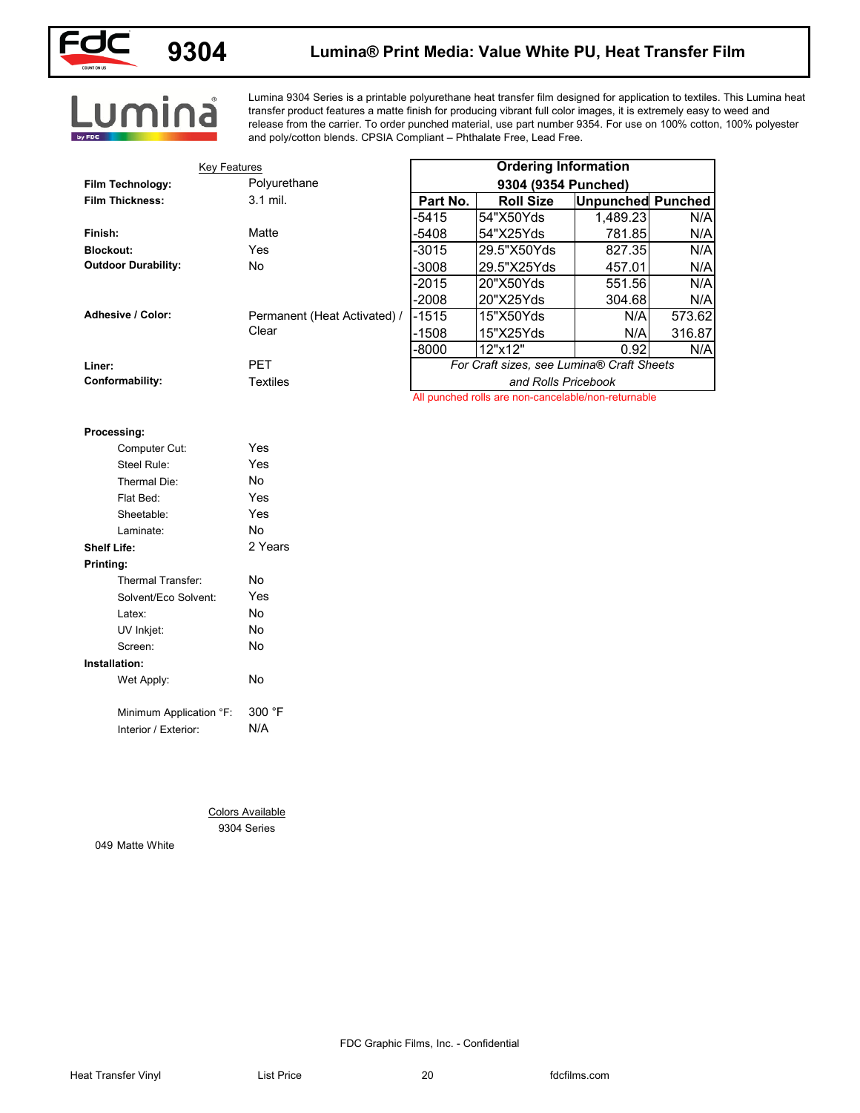

## **9304**

### **Lumina® Print Media: Value White PU, Heat Transfer Film**

Lumina

Lumina 9304 Series is a printable polyurethane heat transfer film designed for application to textiles. This Lumina heat transfer product features a matte finish for producing vibrant full color images, it is extremely easy to weed and release from the carrier. To order punched material, use part number 9354. For use on 100% cotton, 100% polyester and poly/cotton blends. CPSIA Compliant – Phthalate Free, Lead Free.

| <b>Key Features</b>        |                              |          | <b>Ordering Information</b>                         |                          |        |
|----------------------------|------------------------------|----------|-----------------------------------------------------|--------------------------|--------|
| Film Technology:           | Polyurethane                 |          | 9304 (9354 Punched)                                 |                          |        |
| <b>Film Thickness:</b>     | 3.1 mil.                     | Part No. | <b>Roll Size</b>                                    | <b>Unpunched Punched</b> |        |
|                            |                              | $-5415$  | 54"X50Yds                                           | 1,489.23                 | N/A    |
| Finish:                    | Matte                        | -5408    | 54"X25Yds                                           | 781.85                   | N/A    |
| <b>Blockout:</b>           | Yes                          | $-3015$  | 29.5"X50Yds                                         | 827.35                   | N/A    |
| <b>Outdoor Durability:</b> | No                           | -3008    | 29.5"X25Yds                                         | 457.01                   | N/A    |
|                            |                              | $-2015$  | 20"X50Yds                                           | 551.56                   | N/A    |
|                            |                              | $-2008$  | 20"X25Yds                                           | 304.68                   | N/A    |
| Adhesive / Color:          | Permanent (Heat Activated) / | $-1515$  | 15"X50Yds                                           | N/A                      | 573.62 |
|                            | Clear                        | $-1508$  | 15"X25Yds                                           | N/A                      | 316.87 |
|                            |                              | -8000    | 12"x12"                                             | 0.92                     | N/A    |
| Liner:                     | PET                          |          | For Craft sizes, see Lumina® Craft Sheets           |                          |        |
| Conformability:            | <b>Textiles</b>              |          | and Rolls Pricebook                                 |                          |        |
|                            |                              |          | All punched rolls are non-cancelable/non-returnable |                          |        |
|                            |                              |          |                                                     |                          |        |
| Processing:                |                              |          |                                                     |                          |        |
| Computer Cut:              | Yes                          |          |                                                     |                          |        |
| Steel Rule:                | Yes                          |          |                                                     |                          |        |
| Thermal Die:               | No                           |          |                                                     |                          |        |
| Flat Bed:                  | Yes                          |          |                                                     |                          |        |
| Sheetable:                 | Yes                          |          |                                                     |                          |        |
| Laminate:                  | No                           |          |                                                     |                          |        |
| <b>Shelf Life:</b>         | 2 Years                      |          |                                                     |                          |        |
| Printing:                  |                              |          |                                                     |                          |        |
| Thermal Transfer:          | No                           |          |                                                     |                          |        |
| Solvent/Eco Solvent:       | Yes                          |          |                                                     |                          |        |
| Latex:                     | No                           |          |                                                     |                          |        |
| UV Inkjet:                 | No                           |          |                                                     |                          |        |
| Screen:                    | No                           |          |                                                     |                          |        |
| Installation:              |                              |          |                                                     |                          |        |
| Wet Apply:                 | No                           |          |                                                     |                          |        |
|                            |                              |          |                                                     |                          |        |
| Minimum Application °F:    | 300 °F                       |          |                                                     |                          |        |
| Interior / Exterior:       | N/A                          |          |                                                     |                          |        |
|                            |                              |          |                                                     |                          |        |
|                            |                              |          |                                                     |                          |        |
|                            | <b>Colors Available</b>      |          |                                                     |                          |        |
|                            | 9304 Series                  |          |                                                     |                          |        |
| 049 Matte White            |                              |          |                                                     |                          |        |
|                            |                              |          |                                                     |                          |        |
|                            |                              |          |                                                     |                          |        |
|                            |                              |          |                                                     |                          |        |
|                            |                              |          |                                                     |                          |        |
|                            |                              |          |                                                     |                          |        |

### **Processing:**

| Computer Cut:           | Yes     |
|-------------------------|---------|
| Steel Rule:             | Yes     |
| Thermal Die:            | N٥      |
| Flat Bed:               | Yes     |
| Sheetable:              | Yes     |
| Laminate:               | N٥      |
| <b>Shelf Life:</b>      | 2 Years |
| Printing:               |         |
| Thermal Transfer:       | No      |
| Solvent/Eco Solvent:    | Yes     |
| Latex:                  | No      |
| UV Inkjet:              | No      |
| Screen:                 | N٥      |
| Installation:           |         |
| Wet Apply:              | Nο      |
|                         |         |
| Minimum Application °F: | 300 °F  |
| Interior / Exterior:    | N/A     |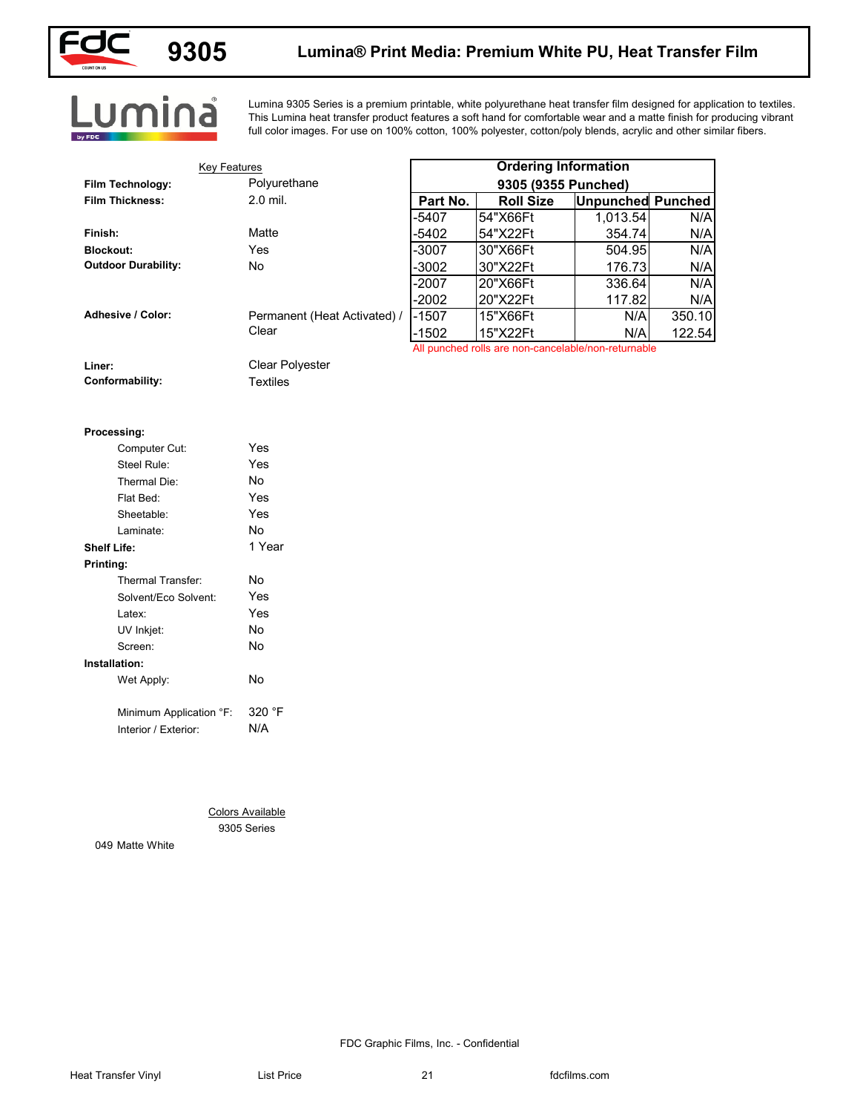

## **9305 Lumina® Print Media: Premium White PU, Heat Transfer Film**

# Lumina

Lumina 9305 Series is a premium printable, white polyurethane heat transfer film designed for application to textiles. This Lumina heat transfer product features a soft hand for comfortable wear and a matte finish for producing vibrant full color images. For use on 100% cotton, 100% polyester, cotton/poly blends, acrylic and other similar fibers.

| <b>Key Features</b>        |                              |                     | <b>Ordering Information</b>                                     |                          |        |
|----------------------------|------------------------------|---------------------|-----------------------------------------------------------------|--------------------------|--------|
| Film Technology:           | Polyurethane                 | 9305 (9355 Punched) |                                                                 |                          |        |
| <b>Film Thickness:</b>     | 2.0 mil.                     | Part No.            | <b>Roll Size</b>                                                | <b>Unpunched Punched</b> |        |
|                            |                              | -5407               | 54"X66Ft                                                        | 1,013.54                 | N/A    |
| Finish:                    | Matte                        | $-5402$             | 54"X22Ft                                                        | 354.74                   | N/A    |
| <b>Blockout:</b>           | Yes                          | -3007               | 30"X66Ft                                                        | 504.95                   | N/A    |
| <b>Outdoor Durability:</b> | No                           | $-3002$             | 30"X22Ft                                                        | 176.73                   | N/A    |
|                            |                              | $-2007$             | 20"X66Ft                                                        | 336.64                   | N/A    |
|                            |                              | $-2002$             | 20"X22Ft                                                        | 117.82                   | N/A    |
| Adhesive / Color:          | Permanent (Heat Activated) / | $-1507$             | 15"X66Ft                                                        | N/A                      | 350.10 |
|                            | Clear                        | $-1502$             | 15"X22Ft<br>All punched rolls are non-cancelable/non-returnable | N/A                      | 122.54 |
| Liner:                     | Clear Polyester              |                     |                                                                 |                          |        |
| Conformability:            | <b>Textiles</b>              |                     |                                                                 |                          |        |
|                            |                              |                     |                                                                 |                          |        |
|                            |                              |                     |                                                                 |                          |        |
| Processing:                |                              |                     |                                                                 |                          |        |
| Computer Cut:              | Yes                          |                     |                                                                 |                          |        |
| Steel Rule:                | Yes                          |                     |                                                                 |                          |        |
| Thermal Die:               | No                           |                     |                                                                 |                          |        |
| Flat Bed:                  | Yes                          |                     |                                                                 |                          |        |
| Sheetable:                 | Yes                          |                     |                                                                 |                          |        |
| Laminate:                  | No                           |                     |                                                                 |                          |        |
| <b>Shelf Life:</b>         | 1 Year                       |                     |                                                                 |                          |        |
| Printing:                  |                              |                     |                                                                 |                          |        |
| Thermal Transfer:          | No                           |                     |                                                                 |                          |        |
| Solvent/Eco Solvent:       | Yes                          |                     |                                                                 |                          |        |
| Latex:                     | Yes                          |                     |                                                                 |                          |        |
| UV Inkjet:                 | No                           |                     |                                                                 |                          |        |
| Screen:                    | No                           |                     |                                                                 |                          |        |
| Installation:              |                              |                     |                                                                 |                          |        |
| Wet Apply:                 | No                           |                     |                                                                 |                          |        |
|                            | 320 °F                       |                     |                                                                 |                          |        |
| Minimum Application °F:    | N/A                          |                     |                                                                 |                          |        |
| Interior / Exterior:       |                              |                     |                                                                 |                          |        |
|                            |                              |                     |                                                                 |                          |        |
|                            |                              |                     |                                                                 |                          |        |
|                            |                              |                     |                                                                 |                          |        |
|                            | <b>Colors Available</b>      |                     |                                                                 |                          |        |
|                            | 9305 Series                  |                     |                                                                 |                          |        |
| 049 Matte White            |                              |                     |                                                                 |                          |        |
|                            |                              |                     |                                                                 |                          |        |
|                            |                              |                     |                                                                 |                          |        |
|                            |                              |                     |                                                                 |                          |        |
|                            |                              |                     |                                                                 |                          |        |
|                            |                              |                     |                                                                 |                          |        |
|                            |                              |                     |                                                                 |                          |        |

|                    | Processing:             |        |
|--------------------|-------------------------|--------|
|                    | Computer Cut:           | Yes    |
|                    | Steel Rule:             | Yes    |
|                    | Thermal Die:            | N٥     |
|                    | Flat Bed:               | Yes    |
|                    | Sheetable:              | Yes    |
|                    | Laminate:               | N٥     |
| <b>Shelf Life:</b> |                         | 1 Year |
| Printing:          |                         |        |
|                    | Thermal Transfer        | No     |
|                    | Solvent/Eco Solvent:    | Yes    |
|                    | Latex:                  | Yes    |
|                    | UV Inkjet:              | No     |
|                    | Screen:                 | No     |
|                    | Installation:           |        |
|                    | Wet Apply:              | No     |
|                    | Minimum Application °F: | 320 °F |
|                    | Interior / Exterior:    | N/A    |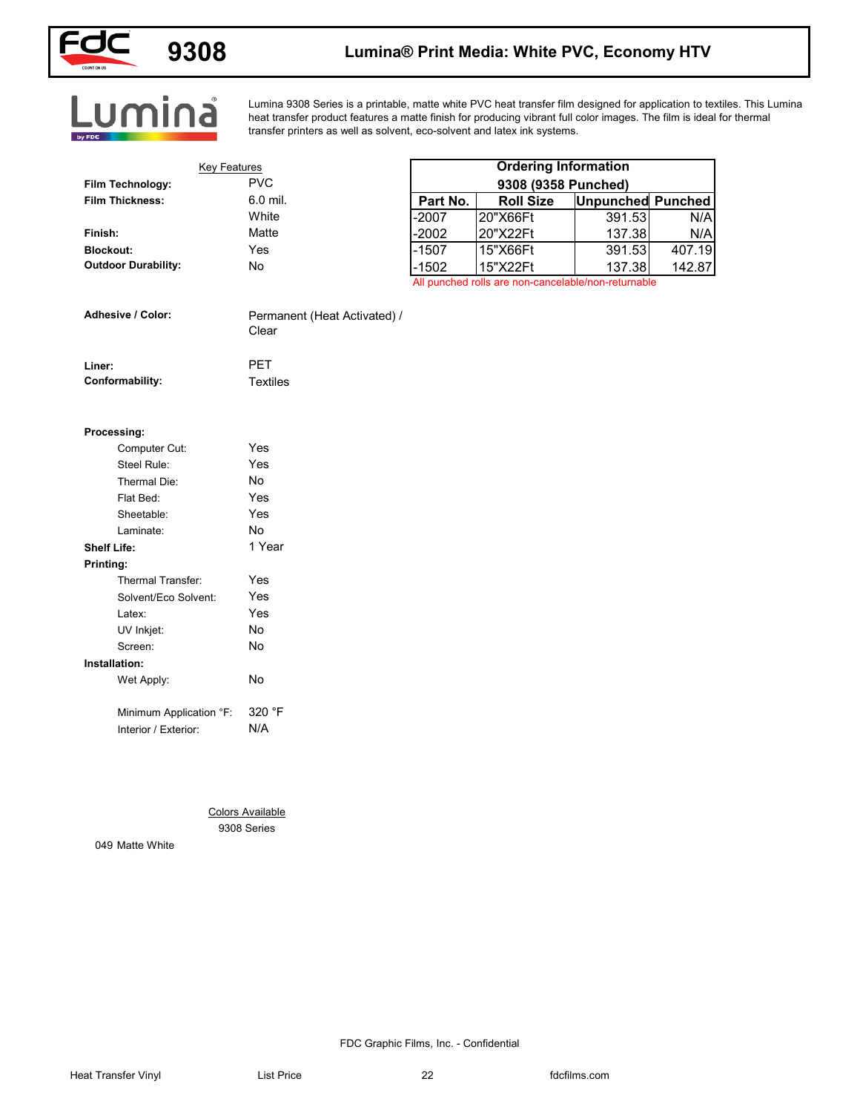

## **9308 Lumina® Print Media: White PVC, Economy HTV**

# Lumina

Lumina 9308 Series is a printable, matte white PVC heat transfer film designed for application to textiles. This Lumina heat transfer product features a matte finish for producing vibrant full color images. The film is ideal for thermal transfer printers as well as solvent, eco-solvent and latex ink systems.

| <b>Key Features</b>        |                              |          | <b>Ordering Information</b>                         |                          |        |
|----------------------------|------------------------------|----------|-----------------------------------------------------|--------------------------|--------|
| Film Technology:           | <b>PVC</b>                   |          | 9308 (9358 Punched)                                 |                          |        |
| <b>Film Thickness:</b>     | 6.0 mil.                     | Part No. | <b>Roll Size</b>                                    | <b>Unpunched Punched</b> |        |
|                            | White                        | $-2007$  | 20"X66Ft                                            | 391.53                   | N/A    |
| Finish:                    | Matte                        | $-2002$  | 20"X22Ft                                            | 137.38                   | N/A    |
| <b>Blockout:</b>           | Yes                          | $-1507$  | 15"X66Ft                                            | 391.53                   | 407.19 |
| <b>Outdoor Durability:</b> | No                           | $-1502$  | 15"X22Ft                                            | 137.38                   | 142.87 |
|                            |                              |          | All punched rolls are non-cancelable/non-returnable |                          |        |
| Adhesive / Color:          | Permanent (Heat Activated) / |          |                                                     |                          |        |
|                            | Clear                        |          |                                                     |                          |        |
| Liner:                     | PET                          |          |                                                     |                          |        |
| Conformability:            | <b>Textiles</b>              |          |                                                     |                          |        |
|                            |                              |          |                                                     |                          |        |
| Processing:                |                              |          |                                                     |                          |        |
| Computer Cut:              | Yes                          |          |                                                     |                          |        |
| Steel Rule:                | Yes                          |          |                                                     |                          |        |
| Thermal Die:               | No                           |          |                                                     |                          |        |
| Flat Bed:                  | Yes                          |          |                                                     |                          |        |
| Sheetable:                 | Yes                          |          |                                                     |                          |        |
| Laminate:                  | No                           |          |                                                     |                          |        |
| <b>Shelf Life:</b>         | 1 Year                       |          |                                                     |                          |        |
| Printing:                  |                              |          |                                                     |                          |        |
| Thermal Transfer:          | Yes                          |          |                                                     |                          |        |
| Solvent/Eco Solvent:       | Yes                          |          |                                                     |                          |        |
| Latex:                     | Yes                          |          |                                                     |                          |        |
| UV Inkjet:                 | No                           |          |                                                     |                          |        |
| Screen:                    | $\mathsf{No}$                |          |                                                     |                          |        |
| Installation:              |                              |          |                                                     |                          |        |
| Wet Apply:                 | No                           |          |                                                     |                          |        |
|                            |                              |          |                                                     |                          |        |
| Minimum Application °F:    | 320 °F                       |          |                                                     |                          |        |
| Interior / Exterior:       | N/A                          |          |                                                     |                          |        |
|                            |                              |          |                                                     |                          |        |
|                            |                              |          |                                                     |                          |        |
|                            |                              |          |                                                     |                          |        |
|                            | <b>Colors Available</b>      |          |                                                     |                          |        |
| 049 Matte White            | 9308 Series                  |          |                                                     |                          |        |
|                            |                              |          |                                                     |                          |        |
|                            |                              |          |                                                     |                          |        |
|                            |                              |          |                                                     |                          |        |
|                            |                              |          |                                                     |                          |        |
|                            |                              |          |                                                     |                          |        |
|                            |                              |          |                                                     |                          |        |

| <b>Adhesive / Color:</b> | Permanent (Heat Activated) /<br>Clear |
|--------------------------|---------------------------------------|
| Liner:                   | <b>PFT</b>                            |

| Conformability: |
|-----------------|
|-----------------|

### **Processing:**

| Computer Cut:           | Yes    |
|-------------------------|--------|
| Steel Rule:             | Yes    |
| Thermal Die:            | No     |
| Flat Bed:               | Yes    |
| Sheetable:              | Yes    |
| Laminate:               | No     |
| Shelf Life:             | 1 Year |
| Printing:               |        |
| Thermal Transfer:       | Yes    |
| Solvent/Eco Solvent:    | Yes    |
| l atex <sup>-</sup>     | Yes    |
| UV Inkjet:              | No     |
| Screen:                 | No     |
| Installation:           |        |
| Wet Apply:              | Nο     |
| Minimum Application °F: | 320 °F |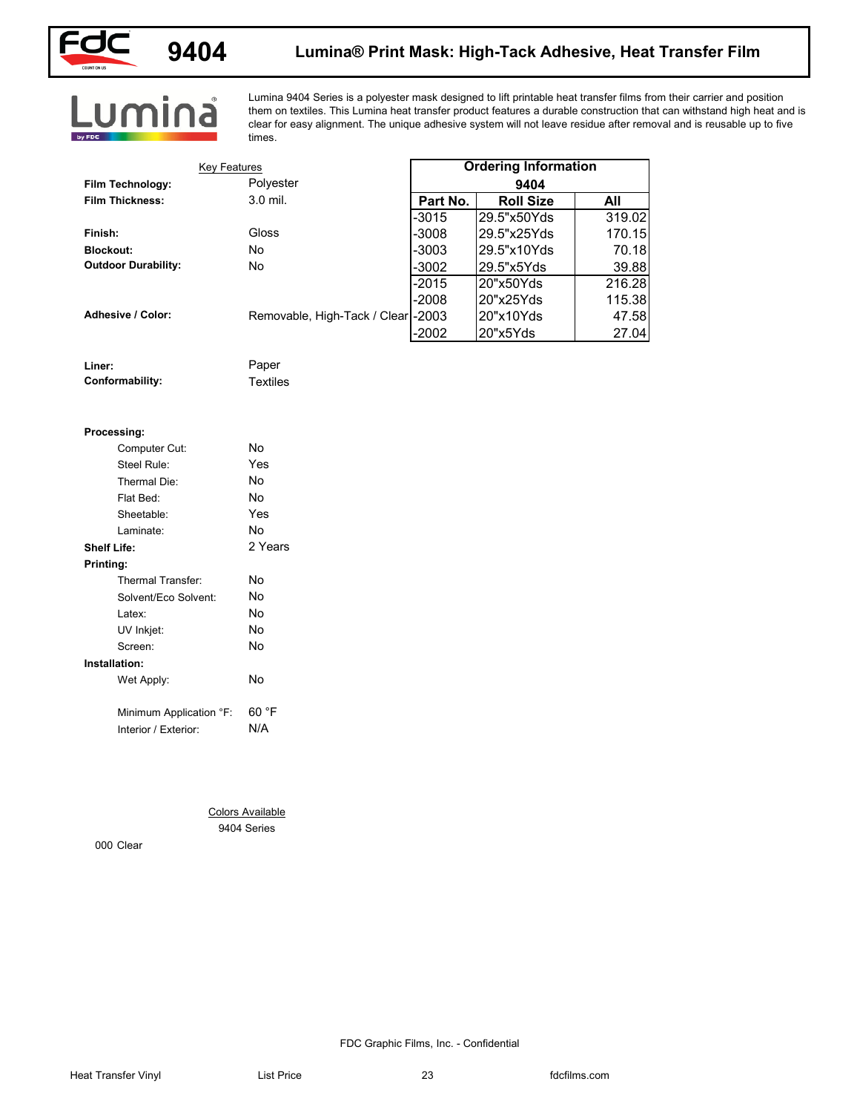

# **9404 Lumina® Print Mask: High-Tack Adhesive, Heat Transfer Film**

# Lumina

Lumina 9404 Series is a polyester mask designed to lift printable heat transfer films from their carrier and position them on textiles. This Lumina heat transfer product features a durable construction that can withstand high heat and is clear for easy alignment. The unique adhesive system will not leave residue after removal and is reusable up to five times.

| <b>Key Features</b>            |                                        |          | <b>Ordering Information</b> |        |
|--------------------------------|----------------------------------------|----------|-----------------------------|--------|
| Film Technology:               | Polyester                              |          | 9404                        |        |
| <b>Film Thickness:</b>         | 3.0 mil.                               | Part No. | <b>Roll Size</b>            | All    |
|                                |                                        | $-3015$  | 29.5"x50Yds                 | 319.02 |
| Finish:                        | Gloss                                  | -3008    | 29.5"x25Yds                 | 170.15 |
| <b>Blockout:</b>               | No                                     | -3003    | 29.5"x10Yds                 | 70.18  |
| <b>Outdoor Durability:</b>     | No                                     | $-3002$  | 29.5"x5Yds                  | 39.88  |
|                                |                                        | $-2015$  | 20"x50Yds                   | 216.28 |
|                                |                                        | $-2008$  | 20"x25Yds                   | 115.38 |
| Adhesive / Color:              | Removable, High-Tack / Clear -2003     |          | 20"x10Yds                   | 47.58  |
|                                |                                        | $-2002$  | 20"x5Yds                    | 27.04  |
| Liner:                         | Paper                                  |          |                             |        |
| Conformability:                | <b>Textiles</b>                        |          |                             |        |
| Processing:                    |                                        |          |                             |        |
| Computer Cut:                  | $\mathsf{No}$                          |          |                             |        |
| Steel Rule:                    | Yes                                    |          |                             |        |
| Thermal Die:                   | No                                     |          |                             |        |
| Flat Bed:                      | No                                     |          |                             |        |
| Sheetable:                     | Yes                                    |          |                             |        |
| Laminate:                      | No                                     |          |                             |        |
| <b>Shelf Life:</b>             | 2 Years                                |          |                             |        |
| Printing:<br>Thermal Transfer: | $\mathsf{No}$                          |          |                             |        |
| Solvent/Eco Solvent:           | No                                     |          |                             |        |
| Latex:                         | $\mathsf{No}$                          |          |                             |        |
| UV Inkjet:                     | No                                     |          |                             |        |
| Screen:                        | $\mathsf{No}$                          |          |                             |        |
| Installation:                  |                                        |          |                             |        |
| Wet Apply:                     | No                                     |          |                             |        |
| Minimum Application °F:        | 60 °F                                  |          |                             |        |
| Interior / Exterior:           | N/A                                    |          |                             |        |
|                                |                                        |          |                             |        |
|                                |                                        |          |                             |        |
|                                | <b>Colors Available</b><br>9404 Series |          |                             |        |
| 000 Clear                      |                                        |          |                             |        |
|                                |                                        |          |                             |        |
|                                |                                        |          |                             |        |
|                                |                                        |          |                             |        |
|                                |                                        |          |                             |        |
|                                |                                        |          |                             |        |

| Liner:          |  |
|-----------------|--|
| Conformability: |  |

### **Processing:**

| Computer Cut:           | No      |
|-------------------------|---------|
| Steel Rule:             | Yes     |
| Thermal Die:            | No      |
| Flat Bed:               | N٥      |
| Sheetable:              | Yes     |
| Laminate:               | N٥      |
| Shelf Life:             | 2 Years |
| Printing:               |         |
| Thermal Transfer:       | No      |
| Solvent/Eco Solvent:    | No      |
| Latex:                  | N٥      |
| UV Inkjet:              | No      |
| Screen:                 | No      |
| Installation:           |         |
| Wet Apply:              | No      |
|                         |         |
| Minimum Application °F: | 60 °F   |
| Interior / Exterior:    | N/A     |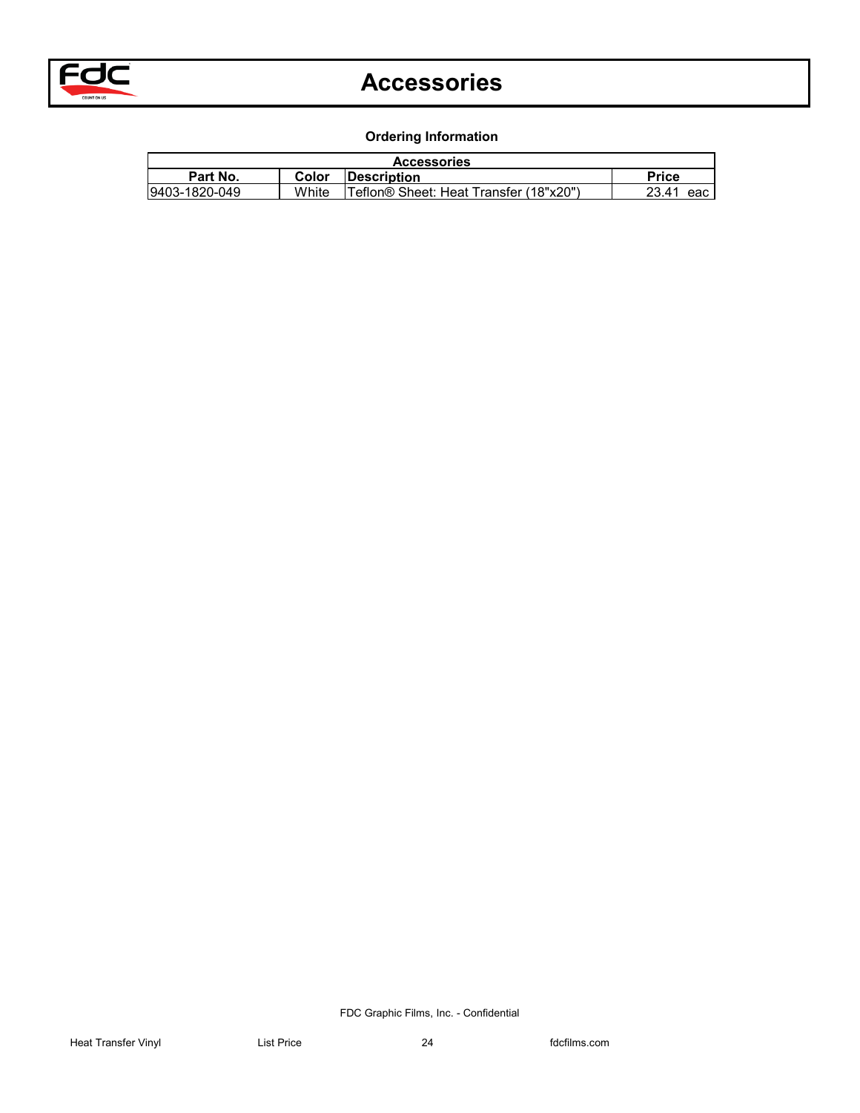

## **Accessories**

**Ordering Information**

| <b>Accessories</b><br>Part No.<br>9403-1820-049<br>Description<br>Teflon® Sheet: Heat Transfer (18"x20")<br>Price<br>23.41 eac<br><b>Color</b><br>White |
|---------------------------------------------------------------------------------------------------------------------------------------------------------|
|                                                                                                                                                         |
|                                                                                                                                                         |
|                                                                                                                                                         |
|                                                                                                                                                         |
|                                                                                                                                                         |
|                                                                                                                                                         |
|                                                                                                                                                         |
|                                                                                                                                                         |
|                                                                                                                                                         |
|                                                                                                                                                         |
|                                                                                                                                                         |
|                                                                                                                                                         |
|                                                                                                                                                         |
|                                                                                                                                                         |
|                                                                                                                                                         |
|                                                                                                                                                         |
|                                                                                                                                                         |
|                                                                                                                                                         |
|                                                                                                                                                         |
|                                                                                                                                                         |
|                                                                                                                                                         |
|                                                                                                                                                         |
|                                                                                                                                                         |
|                                                                                                                                                         |
|                                                                                                                                                         |
|                                                                                                                                                         |
|                                                                                                                                                         |
|                                                                                                                                                         |
|                                                                                                                                                         |
|                                                                                                                                                         |
|                                                                                                                                                         |
|                                                                                                                                                         |
|                                                                                                                                                         |
|                                                                                                                                                         |
|                                                                                                                                                         |
|                                                                                                                                                         |
|                                                                                                                                                         |
|                                                                                                                                                         |
|                                                                                                                                                         |
|                                                                                                                                                         |
|                                                                                                                                                         |
|                                                                                                                                                         |
|                                                                                                                                                         |
|                                                                                                                                                         |
|                                                                                                                                                         |
|                                                                                                                                                         |
|                                                                                                                                                         |